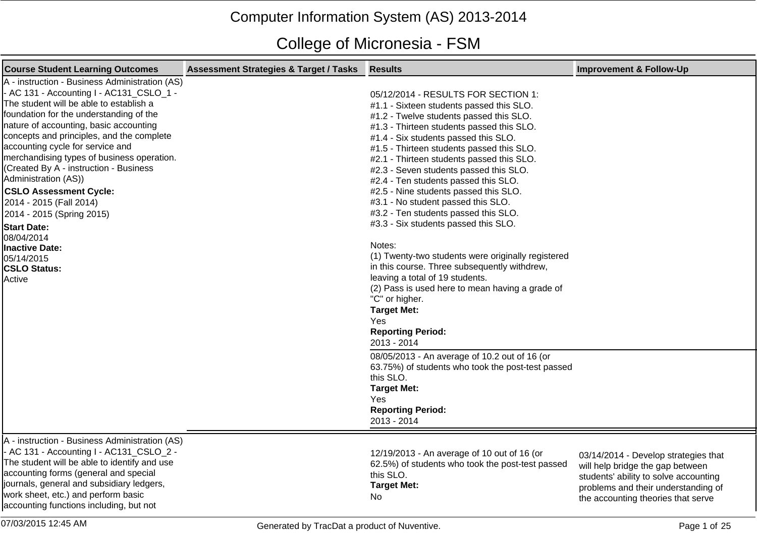## Computer Information System (AS) 2013-2014

## College of Micronesia - FSM

| <b>Course Student Learning Outcomes</b>                                                                                                                                                                                                                                                                                                                                                                                                                                                                                                                                                                                   | <b>Assessment Strategies &amp; Target / Tasks</b> | <b>Results</b>                                                                                                                                                                                                                                                                                                                                                                                                                                                                                                                                                                                                                                                                                                                                                                                                                                                                                                                                                                                                                                        | <b>Improvement &amp; Follow-Up</b>                                                                                                                                                             |
|---------------------------------------------------------------------------------------------------------------------------------------------------------------------------------------------------------------------------------------------------------------------------------------------------------------------------------------------------------------------------------------------------------------------------------------------------------------------------------------------------------------------------------------------------------------------------------------------------------------------------|---------------------------------------------------|-------------------------------------------------------------------------------------------------------------------------------------------------------------------------------------------------------------------------------------------------------------------------------------------------------------------------------------------------------------------------------------------------------------------------------------------------------------------------------------------------------------------------------------------------------------------------------------------------------------------------------------------------------------------------------------------------------------------------------------------------------------------------------------------------------------------------------------------------------------------------------------------------------------------------------------------------------------------------------------------------------------------------------------------------------|------------------------------------------------------------------------------------------------------------------------------------------------------------------------------------------------|
| A - instruction - Business Administration (AS)<br>- AC 131 - Accounting I - AC131_CSLO_1 -<br>The student will be able to establish a<br>foundation for the understanding of the<br>nature of accounting, basic accounting<br>concepts and principles, and the complete<br>accounting cycle for service and<br>merchandising types of business operation.<br>(Created By A - instruction - Business<br>Administration (AS))<br><b>CSLO Assessment Cycle:</b><br>2014 - 2015 (Fall 2014)<br>2014 - 2015 (Spring 2015)<br><b>Start Date:</b><br>08/04/2014<br>Inactive Date:<br>05/14/2015<br><b>CSLO Status:</b><br>Active |                                                   | 05/12/2014 - RESULTS FOR SECTION 1:<br>#1.1 - Sixteen students passed this SLO.<br>#1.2 - Twelve students passed this SLO.<br>#1.3 - Thirteen students passed this SLO.<br>#1.4 - Six students passed this SLO.<br>#1.5 - Thirteen students passed this SLO.<br>#2.1 - Thirteen students passed this SLO.<br>#2.3 - Seven students passed this SLO.<br>#2.4 - Ten students passed this SLO.<br>#2.5 - Nine students passed this SLO.<br>#3.1 - No student passed this SLO.<br>#3.2 - Ten students passed this SLO.<br>#3.3 - Six students passed this SLO.<br>Notes:<br>(1) Twenty-two students were originally registered<br>in this course. Three subsequently withdrew,<br>leaving a total of 19 students.<br>(2) Pass is used here to mean having a grade of<br>"C" or higher.<br><b>Target Met:</b><br>Yes<br><b>Reporting Period:</b><br>2013 - 2014<br>08/05/2013 - An average of 10.2 out of 16 (or<br>63.75%) of students who took the post-test passed<br>this SLO.<br><b>Target Met:</b><br>Yes<br><b>Reporting Period:</b><br>2013 - 2014 |                                                                                                                                                                                                |
| A - instruction - Business Administration (AS)<br>- AC 131 - Accounting I - AC131_CSLO_2 -<br>The student will be able to identify and use<br>accounting forms (general and special<br>journals, general and subsidiary ledgers,<br>work sheet, etc.) and perform basic<br>accounting functions including, but not                                                                                                                                                                                                                                                                                                        |                                                   | 12/19/2013 - An average of 10 out of 16 (or<br>62.5%) of students who took the post-test passed<br>this SLO.<br><b>Target Met:</b><br><b>No</b>                                                                                                                                                                                                                                                                                                                                                                                                                                                                                                                                                                                                                                                                                                                                                                                                                                                                                                       | 03/14/2014 - Develop strategies that<br>will help bridge the gap between<br>students' ability to solve accounting<br>problems and their understanding of<br>the accounting theories that serve |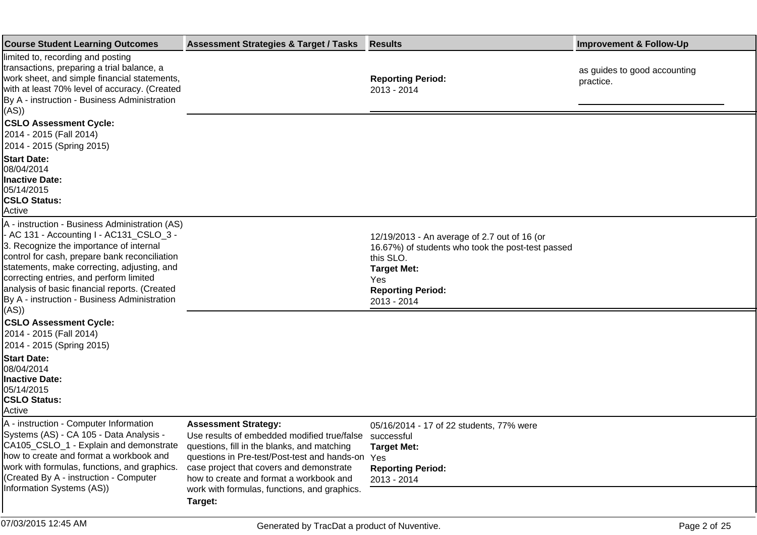| <b>Course Student Learning Outcomes</b>                                                                                                                                                                                                                                                                                                                                           | <b>Assessment Strategies &amp; Target / Tasks</b>                                                                                                                                                                                                                                                                                      | <b>Results</b>                                                                                                                                                                         | <b>Improvement &amp; Follow-Up</b>        |
|-----------------------------------------------------------------------------------------------------------------------------------------------------------------------------------------------------------------------------------------------------------------------------------------------------------------------------------------------------------------------------------|----------------------------------------------------------------------------------------------------------------------------------------------------------------------------------------------------------------------------------------------------------------------------------------------------------------------------------------|----------------------------------------------------------------------------------------------------------------------------------------------------------------------------------------|-------------------------------------------|
| limited to, recording and posting<br>transactions, preparing a trial balance, a<br>work sheet, and simple financial statements,<br>with at least 70% level of accuracy. (Created<br>By A - instruction - Business Administration<br>((AS)                                                                                                                                         |                                                                                                                                                                                                                                                                                                                                        | <b>Reporting Period:</b><br>2013 - 2014                                                                                                                                                | as guides to good accounting<br>practice. |
| <b>CSLO Assessment Cycle:</b><br>2014 - 2015 (Fall 2014)<br>2014 - 2015 (Spring 2015)                                                                                                                                                                                                                                                                                             |                                                                                                                                                                                                                                                                                                                                        |                                                                                                                                                                                        |                                           |
| <b>Start Date:</b><br>08/04/2014<br><b>Inactive Date:</b><br>05/14/2015<br><b>CSLO Status:</b><br>Active                                                                                                                                                                                                                                                                          |                                                                                                                                                                                                                                                                                                                                        |                                                                                                                                                                                        |                                           |
| A - instruction - Business Administration (AS)<br>- AC 131 - Accounting I - AC131_CSLO_3 -<br>3. Recognize the importance of internal<br>control for cash, prepare bank reconciliation<br>statements, make correcting, adjusting, and<br>correcting entries, and perform limited<br>analysis of basic financial reports. (Created<br>By A - instruction - Business Administration |                                                                                                                                                                                                                                                                                                                                        | 12/19/2013 - An average of 2.7 out of 16 (or<br>16.67%) of students who took the post-test passed<br>this SLO.<br><b>Target Met:</b><br>Yes<br><b>Reporting Period:</b><br>2013 - 2014 |                                           |
| ((AS)<br><b>CSLO Assessment Cycle:</b><br>2014 - 2015 (Fall 2014)<br>2014 - 2015 (Spring 2015)<br><b>Start Date:</b><br>08/04/2014<br>Inactive Date:<br>05/14/2015<br><b>CSLO Status:</b><br>Active                                                                                                                                                                               |                                                                                                                                                                                                                                                                                                                                        |                                                                                                                                                                                        |                                           |
| A - instruction - Computer Information<br>Systems (AS) - CA 105 - Data Analysis -<br>CA105_CSLO_1 - Explain and demonstrate<br>how to create and format a workbook and<br>work with formulas, functions, and graphics.<br>(Created By A - instruction - Computer<br>Information Systems (AS))                                                                                     | <b>Assessment Strategy:</b><br>Use results of embedded modified true/false successful<br>questions, fill in the blanks, and matching<br>questions in Pre-test/Post-test and hands-on<br>case project that covers and demonstrate<br>how to create and format a workbook and<br>work with formulas, functions, and graphics.<br>Target: | 05/16/2014 - 17 of 22 students, 77% were<br><b>Target Met:</b><br>Yes<br><b>Reporting Period:</b><br>2013 - 2014                                                                       |                                           |
| 07/03/2015 12:45 AM                                                                                                                                                                                                                                                                                                                                                               | Generated by TracDat a product of Nuventive.                                                                                                                                                                                                                                                                                           |                                                                                                                                                                                        | Page 2 of 25                              |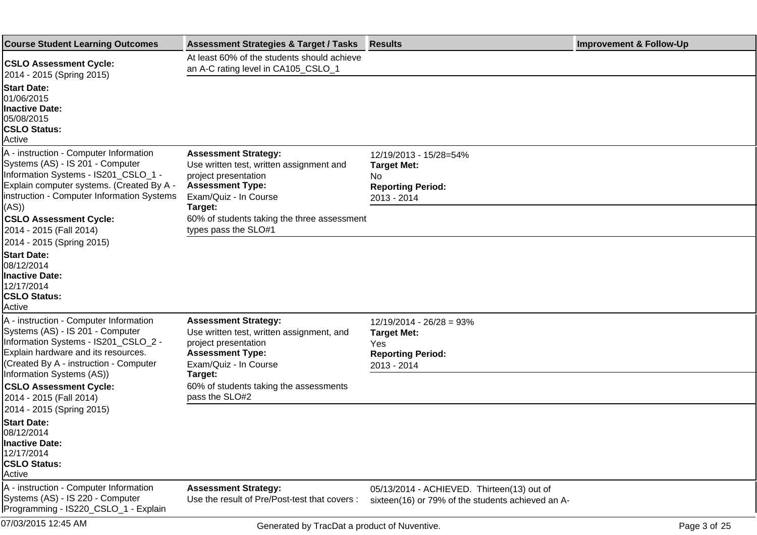| <b>Course Student Learning Outcomes</b>                                                                                                                                                                                          | <b>Assessment Strategies &amp; Target / Tasks</b>                                                                                                               | <b>Results</b>                                                                                     | <b>Improvement &amp; Follow-Up</b> |
|----------------------------------------------------------------------------------------------------------------------------------------------------------------------------------------------------------------------------------|-----------------------------------------------------------------------------------------------------------------------------------------------------------------|----------------------------------------------------------------------------------------------------|------------------------------------|
| <b>CSLO Assessment Cycle:</b><br>2014 - 2015 (Spring 2015)                                                                                                                                                                       | At least 60% of the students should achieve<br>an A-C rating level in CA105_CSLO_1                                                                              |                                                                                                    |                                    |
| <b>Start Date:</b><br>01/06/2015<br><b>Inactive Date:</b><br>05/08/2015<br><b>CSLO Status:</b><br>Active                                                                                                                         |                                                                                                                                                                 |                                                                                                    |                                    |
| A - instruction - Computer Information<br>Systems (AS) - IS 201 - Computer<br>Information Systems - IS201_CSLO_1 -<br>Explain computer systems. (Created By A -<br>instruction - Computer Information Systems                    | <b>Assessment Strategy:</b><br>Use written test, written assignment and<br>project presentation<br><b>Assessment Type:</b><br>Exam/Quiz - In Course             | 12/19/2013 - 15/28=54%<br><b>Target Met:</b><br>No.<br><b>Reporting Period:</b><br>2013 - 2014     |                                    |
| (AS)<br><b>CSLO Assessment Cycle:</b><br>2014 - 2015 (Fall 2014)<br>2014 - 2015 (Spring 2015)                                                                                                                                    | Target:<br>60% of students taking the three assessment<br>types pass the SLO#1                                                                                  |                                                                                                    |                                    |
| <b>Start Date:</b><br>08/12/2014<br>Inactive Date:<br>12/17/2014<br><b>CSLO Status:</b><br>Active                                                                                                                                |                                                                                                                                                                 |                                                                                                    |                                    |
| A - instruction - Computer Information<br>Systems (AS) - IS 201 - Computer<br>Information Systems - IS201_CSLO_2 -<br>Explain hardware and its resources.<br>(Created By A - instruction - Computer<br>Information Systems (AS)) | <b>Assessment Strategy:</b><br>Use written test, written assignment, and<br>project presentation<br><b>Assessment Type:</b><br>Exam/Quiz - In Course<br>Target: | $12/19/2014 - 26/28 = 93%$<br><b>Target Met:</b><br>Yes<br><b>Reporting Period:</b><br>2013 - 2014 |                                    |
| <b>CSLO Assessment Cycle:</b><br>2014 - 2015 (Fall 2014)<br>2014 - 2015 (Spring 2015)                                                                                                                                            | 60% of students taking the assessments<br>pass the SLO#2                                                                                                        |                                                                                                    |                                    |
| <b>Start Date:</b><br>08/12/2014<br><b>Inactive Date:</b><br>12/17/2014<br><b>CSLO Status:</b><br>Active                                                                                                                         |                                                                                                                                                                 |                                                                                                    |                                    |
| A - instruction - Computer Information<br>Systems (AS) - IS 220 - Computer<br>Programming - IS220_CSLO_1 - Explain                                                                                                               | <b>Assessment Strategy:</b><br>Use the result of Pre/Post-test that covers :                                                                                    | 05/13/2014 - ACHIEVED. Thirteen(13) out of<br>sixteen(16) or 79% of the students achieved an A-    |                                    |
| 07/03/2015 12:45 AM                                                                                                                                                                                                              | Generated by TracDat a product of Nuventive.                                                                                                                    |                                                                                                    | Page 3 of 25                       |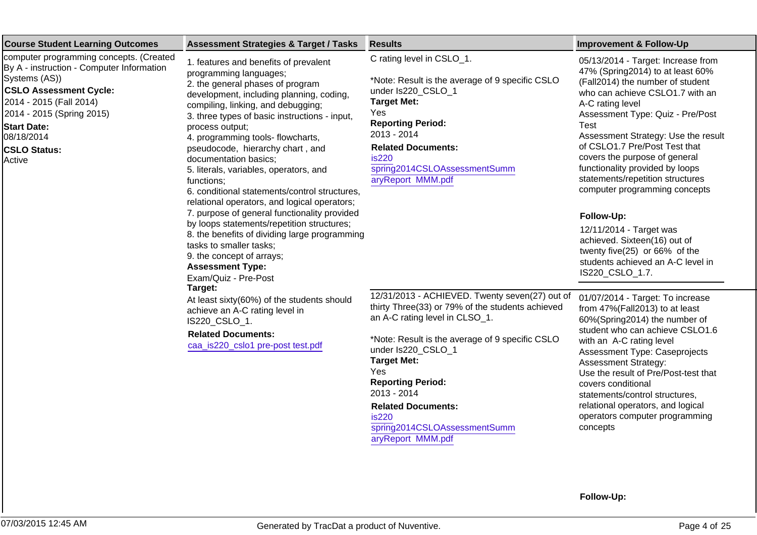| <b>Course Student Learning Outcomes</b>                                                                                                                                                                                                                                                                                                                                                                                                                                                                                                                                                                                                                                                                                                                                                                                                  | <b>Assessment Strategies &amp; Target / Tasks</b>                                                                                                                                                                                                                                                                                         | <b>Results</b>                                                                                                                                                                                                                                                                                                                                                                   | <b>Improvement &amp; Follow-Up</b>                                                                                                                                                                                                                                                                                                                                                                                                                                                                                                                                                                       |
|------------------------------------------------------------------------------------------------------------------------------------------------------------------------------------------------------------------------------------------------------------------------------------------------------------------------------------------------------------------------------------------------------------------------------------------------------------------------------------------------------------------------------------------------------------------------------------------------------------------------------------------------------------------------------------------------------------------------------------------------------------------------------------------------------------------------------------------|-------------------------------------------------------------------------------------------------------------------------------------------------------------------------------------------------------------------------------------------------------------------------------------------------------------------------------------------|----------------------------------------------------------------------------------------------------------------------------------------------------------------------------------------------------------------------------------------------------------------------------------------------------------------------------------------------------------------------------------|----------------------------------------------------------------------------------------------------------------------------------------------------------------------------------------------------------------------------------------------------------------------------------------------------------------------------------------------------------------------------------------------------------------------------------------------------------------------------------------------------------------------------------------------------------------------------------------------------------|
| computer programming concepts. (Created<br>1. features and benefits of prevalent<br>By A - instruction - Computer Information<br>programming languages;<br>Systems (AS))<br>2. the general phases of program<br><b>CSLO Assessment Cycle:</b><br>2014 - 2015 (Fall 2014)<br>compiling, linking, and debugging;<br>2014 - 2015 (Spring 2015)<br><b>Start Date:</b><br>process output;<br>08/18/2014<br>4. programming tools- flowcharts,<br>pseudocode, hierarchy chart, and<br><b>CSLO Status:</b><br>documentation basics;<br>Active<br>5. literals, variables, operators, and<br>functions;<br>tasks to smaller tasks;<br>9. the concept of arrays;<br><b>Assessment Type:</b><br>Exam/Quiz - Pre-Post<br>Target:<br>achieve an A-C rating level in<br>IS220_CSLO_1.<br><b>Related Documents:</b><br>caa_is220_cslo1 pre-post test.pdf | development, including planning, coding,<br>3. three types of basic instructions - input,<br>6. conditional statements/control structures,<br>relational operators, and logical operators;<br>7. purpose of general functionality provided<br>by loops statements/repetition structures;<br>8. the benefits of dividing large programming | C rating level in CSLO_1.<br>*Note: Result is the average of 9 specific CSLO<br>under Is220_CSLO_1<br><b>Target Met:</b><br>Yes<br><b>Reporting Period:</b><br>2013 - 2014<br><b>Related Documents:</b><br><b>is220</b><br>spring2014CSLOAssessmentSumm<br>aryReport MMM.pdf                                                                                                     | 05/13/2014 - Target: Increase from<br>47% (Spring 2014) to at least 60%<br>(Fall2014) the number of student<br>who can achieve CSLO1.7 with an<br>A-C rating level<br>Assessment Type: Quiz - Pre/Post<br><b>Test</b><br>Assessment Strategy: Use the result<br>of CSLO1.7 Pre/Post Test that<br>covers the purpose of general<br>functionality provided by loops<br>statements/repetition structures<br>computer programming concepts<br>Follow-Up:<br>12/11/2014 - Target was<br>achieved. Sixteen(16) out of<br>twenty five(25) or 66% of the<br>students achieved an A-C level in<br>IS220_CSLO_1.7. |
|                                                                                                                                                                                                                                                                                                                                                                                                                                                                                                                                                                                                                                                                                                                                                                                                                                          | At least sixty(60%) of the students should                                                                                                                                                                                                                                                                                                | 12/31/2013 - ACHIEVED. Twenty seven(27) out of<br>thirty Three(33) or 79% of the students achieved<br>an A-C rating level in CLSO_1.<br>*Note: Result is the average of 9 specific CSLO<br>under Is220 CSLO 1<br><b>Target Met:</b><br>Yes<br><b>Reporting Period:</b><br>2013 - 2014<br><b>Related Documents:</b><br>is220<br>spring2014CSLOAssessmentSumm<br>aryReport MMM.pdf | 01/07/2014 - Target: To increase<br>from 47%(Fall2013) to at least<br>60%(Spring2014) the number of<br>student who can achieve CSLO1.6<br>with an A-C rating level<br>Assessment Type: Caseprojects<br><b>Assessment Strategy:</b><br>Use the result of Pre/Post-test that<br>covers conditional<br>statements/control structures,<br>relational operators, and logical<br>operators computer programming<br>concepts                                                                                                                                                                                    |

**Follow-Up:**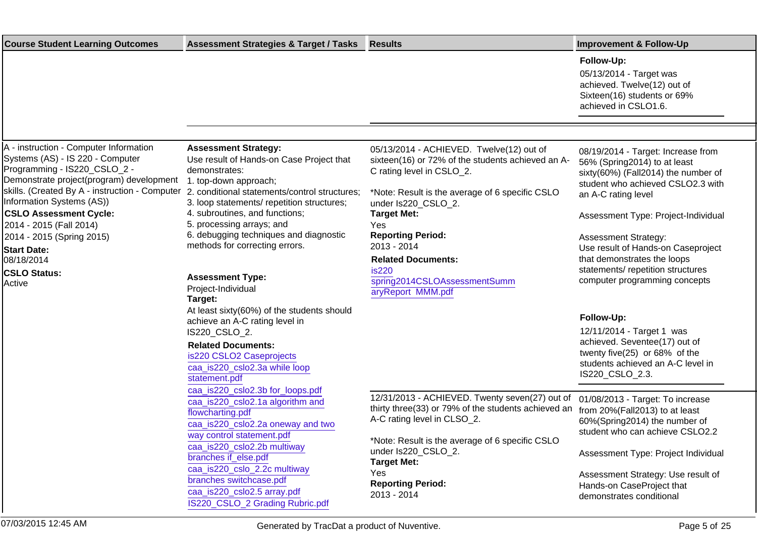| <b>Course Student Learning Outcomes</b>                                                                                                                                                                                                                                                                                                                            | <b>Assessment Strategies &amp; Target / Tasks</b>                                                                                                                                                                                                                                                                                                           | <b>Results</b>                                                                                                                                                                                                                                                                                            | <b>Improvement &amp; Follow-Up</b>                                                                                                                                                                                                                                                                                                                    |
|--------------------------------------------------------------------------------------------------------------------------------------------------------------------------------------------------------------------------------------------------------------------------------------------------------------------------------------------------------------------|-------------------------------------------------------------------------------------------------------------------------------------------------------------------------------------------------------------------------------------------------------------------------------------------------------------------------------------------------------------|-----------------------------------------------------------------------------------------------------------------------------------------------------------------------------------------------------------------------------------------------------------------------------------------------------------|-------------------------------------------------------------------------------------------------------------------------------------------------------------------------------------------------------------------------------------------------------------------------------------------------------------------------------------------------------|
|                                                                                                                                                                                                                                                                                                                                                                    |                                                                                                                                                                                                                                                                                                                                                             |                                                                                                                                                                                                                                                                                                           | Follow-Up:<br>05/13/2014 - Target was<br>achieved. Twelve(12) out of<br>Sixteen(16) students or 69%<br>achieved in CSLO1.6.                                                                                                                                                                                                                           |
|                                                                                                                                                                                                                                                                                                                                                                    |                                                                                                                                                                                                                                                                                                                                                             |                                                                                                                                                                                                                                                                                                           |                                                                                                                                                                                                                                                                                                                                                       |
| A - instruction - Computer Information<br>Systems (AS) - IS 220 - Computer<br>Programming - IS220_CSLO_2 -<br>Demonstrate project(program) development<br>skills. (Created By A - instruction - Computer<br>Information Systems (AS))<br><b>CSLO Assessment Cycle:</b><br>2014 - 2015 (Fall 2014)<br>2014 - 2015 (Spring 2015)<br><b>Start Date:</b><br>08/18/2014 | <b>Assessment Strategy:</b><br>Use result of Hands-on Case Project that<br>demonstrates:<br>1. top-down approach;<br>2. conditional statements/control structures;<br>3. loop statements/ repetition structures;<br>4. subroutines, and functions;<br>5. processing arrays; and<br>6. debugging techniques and diagnostic<br>methods for correcting errors. | 05/13/2014 - ACHIEVED. Twelve(12) out of<br>sixteen(16) or 72% of the students achieved an A-<br>C rating level in CSLO_2.<br>*Note: Result is the average of 6 specific CSLO<br>under Is220_CSLO_2.<br><b>Target Met:</b><br>Yes<br><b>Reporting Period:</b><br>2013 - 2014<br><b>Related Documents:</b> | 08/19/2014 - Target: Increase from<br>56% (Spring2014) to at least<br>sixty(60%) (Fall2014) the number of<br>student who achieved CSLO2.3 with<br>an A-C rating level<br>Assessment Type: Project-Individual<br><b>Assessment Strategy:</b><br>Use result of Hands-on Caseproject<br>that demonstrates the loops<br>statements/ repetition structures |
| <b>CSLO Status:</b><br>Active                                                                                                                                                                                                                                                                                                                                      | <b>Assessment Type:</b><br>Project-Individual<br>Target:                                                                                                                                                                                                                                                                                                    | is220<br>spring2014CSLOAssessmentSumm<br>aryReport MMM.pdf                                                                                                                                                                                                                                                | computer programming concepts                                                                                                                                                                                                                                                                                                                         |
|                                                                                                                                                                                                                                                                                                                                                                    | At least sixty(60%) of the students should<br>achieve an A-C rating level in<br>IS220_CSLO_2.<br><b>Related Documents:</b><br>is220 CSLO2 Caseprojects<br>caa_is220_cslo2.3a while loop<br>statement.pdf                                                                                                                                                    |                                                                                                                                                                                                                                                                                                           | Follow-Up:<br>12/11/2014 - Target 1 was<br>achieved. Seventee(17) out of<br>twenty five(25) or 68% of the<br>students achieved an A-C level in<br>IS220_CSLO_2.3.                                                                                                                                                                                     |
|                                                                                                                                                                                                                                                                                                                                                                    | caa_is220_cslo2.3b for_loops.pdf<br>caa_is220_cslo2.1a algorithm and<br>flowcharting.pdf<br>caa_is220_cslo2.2a oneway and two<br>way control statement.pdf<br>caa_is220_cslo2.2b multiway<br>branches if_else.pdf<br>caa_is220_cslo_2.2c multiway                                                                                                           | 12/31/2013 - ACHIEVED. Twenty seven(27) out of<br>thirty three(33) or 79% of the students achieved an<br>A-C rating level in CLSO_2.<br>*Note: Result is the average of 6 specific CSLO<br>under Is220_CSLO_2.<br><b>Target Met:</b>                                                                      | 01/08/2013 - Target: To increase<br>from 20%(Fall2013) to at least<br>60%(Spring2014) the number of<br>student who can achieve CSLO2.2<br>Assessment Type: Project Individual                                                                                                                                                                         |
|                                                                                                                                                                                                                                                                                                                                                                    | branches switchcase.pdf<br>caa_is220_cslo2.5 array.pdf<br>IS220_CSLO_2 Grading Rubric.pdf                                                                                                                                                                                                                                                                   | Yes<br><b>Reporting Period:</b><br>2013 - 2014                                                                                                                                                                                                                                                            | Assessment Strategy: Use result of<br>Hands-on CaseProject that<br>demonstrates conditional                                                                                                                                                                                                                                                           |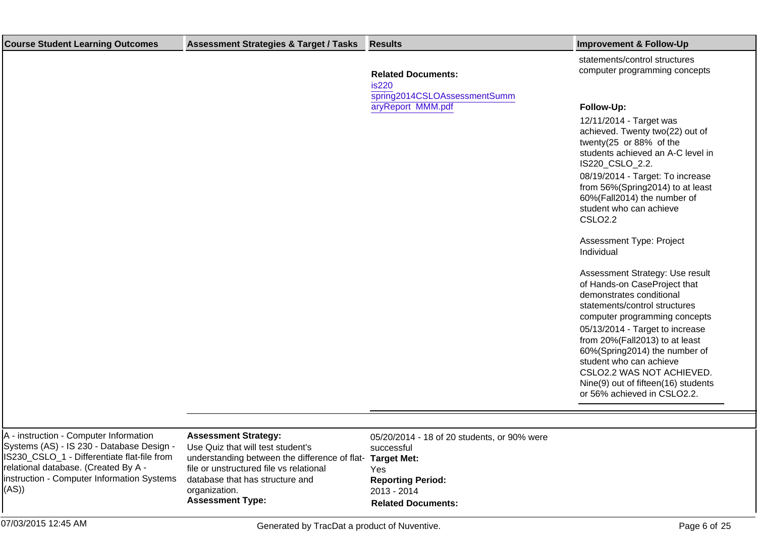| <b>Course Student Learning Outcomes</b>                                                                                            | <b>Assessment Strategies &amp; Target / Tasks</b>                                                                             | <b>Results</b>                                            | <b>Improvement &amp; Follow-Up</b>                                                                                                                                                                                                                                                                              |
|------------------------------------------------------------------------------------------------------------------------------------|-------------------------------------------------------------------------------------------------------------------------------|-----------------------------------------------------------|-----------------------------------------------------------------------------------------------------------------------------------------------------------------------------------------------------------------------------------------------------------------------------------------------------------------|
|                                                                                                                                    |                                                                                                                               | <b>Related Documents:</b><br><b>is220</b>                 | statements/control structures<br>computer programming concepts                                                                                                                                                                                                                                                  |
|                                                                                                                                    |                                                                                                                               | spring2014CSLOAssessmentSumm<br>aryReport MMM.pdf         | Follow-Up:<br>12/11/2014 - Target was<br>achieved. Twenty two(22) out of<br>twenty(25 or 88% of the<br>students achieved an A-C level in<br>IS220 CSLO 2.2.<br>08/19/2014 - Target: To increase<br>from 56%(Spring2014) to at least<br>60%(Fall2014) the number of<br>student who can achieve<br><b>CSLO2.2</b> |
|                                                                                                                                    |                                                                                                                               |                                                           | Assessment Type: Project<br>Individual                                                                                                                                                                                                                                                                          |
|                                                                                                                                    |                                                                                                                               |                                                           | Assessment Strategy: Use result<br>of Hands-on CaseProject that<br>demonstrates conditional<br>statements/control structures<br>computer programming concepts<br>05/13/2014 - Target to increase<br>from 20%(Fall2013) to at least<br>60%(Spring2014) the number of                                             |
|                                                                                                                                    |                                                                                                                               |                                                           | student who can achieve<br>CSLO2.2 WAS NOT ACHIEVED.<br>Nine(9) out of fifteen(16) students<br>or 56% achieved in CSLO2.2.                                                                                                                                                                                      |
| A - instruction - Computer Information<br>Systems (AS) - IS 230 - Database Design -<br>IS230 CSLO 1 - Differentiate flat-file from | <b>Assessment Strategy:</b><br>Use Quiz that will test student's<br>understanding between the difference of flat- Target Met- | 05/20/2014 - 18 of 20 students, or 90% were<br>successful |                                                                                                                                                                                                                                                                                                                 |

IS230\_CSLO\_1 - Differentiate flat-file from relational database. (Created By A instruction - Computer Information Systems  $(AS)$ 

understanding between the difference of flatfile or unstructured file vs relational database that has structure and organization. **Assessment Type:**

**Target Met:** Yes **Reporting Period:** 2013 - 2014 **Related Documents:**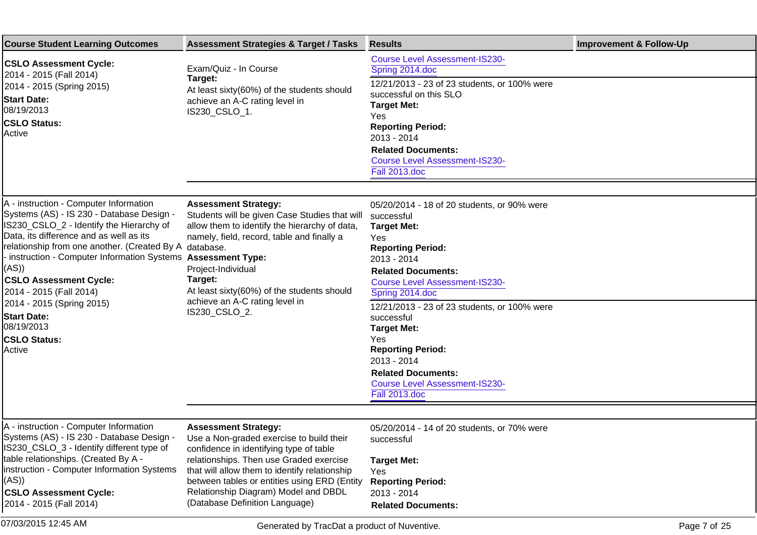| <b>Course Student Learning Outcomes</b>                                                                                                                                                                                                                                                                                                                                                                                                                                   | <b>Assessment Strategies &amp; Target / Tasks</b>                                                                                                                                                                                                                                                                                        | <b>Results</b>                                                                                                                                                                                                                                                                                                                                                                                                                                          | <b>Improvement &amp; Follow-Up</b> |
|---------------------------------------------------------------------------------------------------------------------------------------------------------------------------------------------------------------------------------------------------------------------------------------------------------------------------------------------------------------------------------------------------------------------------------------------------------------------------|------------------------------------------------------------------------------------------------------------------------------------------------------------------------------------------------------------------------------------------------------------------------------------------------------------------------------------------|---------------------------------------------------------------------------------------------------------------------------------------------------------------------------------------------------------------------------------------------------------------------------------------------------------------------------------------------------------------------------------------------------------------------------------------------------------|------------------------------------|
| <b>CSLO Assessment Cycle:</b><br>2014 - 2015 (Fall 2014)<br>2014 - 2015 (Spring 2015)<br><b>Start Date:</b><br>08/19/2013<br><b>CSLO Status:</b><br>Active                                                                                                                                                                                                                                                                                                                | Exam/Quiz - In Course<br>Target:<br>At least sixty(60%) of the students should<br>achieve an A-C rating level in<br>IS230_CSLO_1.                                                                                                                                                                                                        | <b>Course Level Assessment-IS230-</b><br>Spring 2014.doc<br>12/21/2013 - 23 of 23 students, or 100% were<br>successful on this SLO<br><b>Target Met:</b><br>Yes<br><b>Reporting Period:</b><br>2013 - 2014<br><b>Related Documents:</b><br><b>Course Level Assessment-IS230-</b><br><b>Fall 2013.doc</b>                                                                                                                                                |                                    |
| A - instruction - Computer Information<br>Systems (AS) - IS 230 - Database Design -<br>IS230_CSLO_2 - Identify the Hierarchy of<br>Data, its difference and as well as its<br>relationship from one another. (Created By A database.<br>instruction - Computer Information Systems Assessment Type:<br>(AS)<br><b>CSLO Assessment Cycle:</b><br>2014 - 2015 (Fall 2014)<br>2014 - 2015 (Spring 2015)<br><b>Start Date:</b><br>08/19/2013<br><b>CSLO Status:</b><br>Active | <b>Assessment Strategy:</b><br>Students will be given Case Studies that will<br>allow them to identify the hierarchy of data,<br>namely, field, record, table and finally a<br>Project-Individual<br>Target:<br>At least sixty(60%) of the students should<br>achieve an A-C rating level in<br>IS230_CSLO_2.                            | 05/20/2014 - 18 of 20 students, or 90% were<br>successful<br><b>Target Met:</b><br>Yes<br><b>Reporting Period:</b><br>2013 - 2014<br><b>Related Documents:</b><br><b>Course Level Assessment-IS230-</b><br>Spring 2014.doc<br>12/21/2013 - 23 of 23 students, or 100% were<br>successful<br><b>Target Met:</b><br>Yes<br><b>Reporting Period:</b><br>2013 - 2014<br><b>Related Documents:</b><br><b>Course Level Assessment-IS230-</b><br>Fall 2013.doc |                                    |
| A - instruction - Computer Information<br>Systems (AS) - IS 230 - Database Design -<br>IS230_CSLO_3 - Identify different type of<br>table relationships. (Created By A -<br>instruction - Computer Information Systems<br>(AS)<br><b>CSLO Assessment Cycle:</b><br>2014 - 2015 (Fall 2014)                                                                                                                                                                                | <b>Assessment Strategy:</b><br>Use a Non-graded exercise to build their<br>confidence in identifying type of table<br>relationships. Then use Graded exercise<br>that will allow them to identify relationship<br>between tables or entities using ERD (Entity<br>Relationship Diagram) Model and DBDL<br>(Database Definition Language) | 05/20/2014 - 14 of 20 students, or 70% were<br>successful<br><b>Target Met:</b><br>Yes<br><b>Reporting Period:</b><br>2013 - 2014<br><b>Related Documents:</b>                                                                                                                                                                                                                                                                                          |                                    |
| 07/03/2015 12:45 AM                                                                                                                                                                                                                                                                                                                                                                                                                                                       | Generated by TracDat a product of Nuventive.                                                                                                                                                                                                                                                                                             |                                                                                                                                                                                                                                                                                                                                                                                                                                                         | Page 7 of 25                       |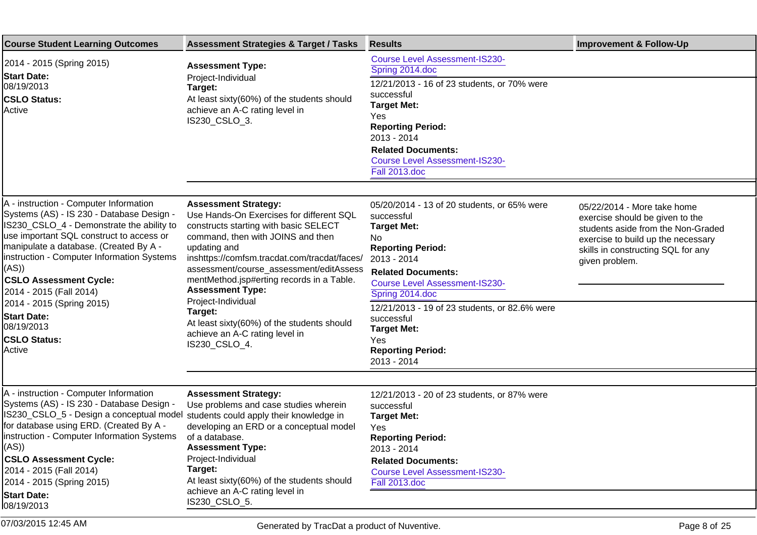| <b>Course Student Learning Outcomes</b>                                                                                                                                                                                                                                                                                                                                                                                                     | <b>Assessment Strategies &amp; Target / Tasks</b>                                                                                                                                                                                                                                                                                                                                                                                                                          | <b>Results</b>                                                                                                                                                                                                                                                                                                                                                    | <b>Improvement &amp; Follow-Up</b>                                                                                                                                                                 |
|---------------------------------------------------------------------------------------------------------------------------------------------------------------------------------------------------------------------------------------------------------------------------------------------------------------------------------------------------------------------------------------------------------------------------------------------|----------------------------------------------------------------------------------------------------------------------------------------------------------------------------------------------------------------------------------------------------------------------------------------------------------------------------------------------------------------------------------------------------------------------------------------------------------------------------|-------------------------------------------------------------------------------------------------------------------------------------------------------------------------------------------------------------------------------------------------------------------------------------------------------------------------------------------------------------------|----------------------------------------------------------------------------------------------------------------------------------------------------------------------------------------------------|
| 2014 - 2015 (Spring 2015)<br><b>Start Date:</b><br>08/19/2013<br><b>CSLO Status:</b><br>Active                                                                                                                                                                                                                                                                                                                                              | <b>Assessment Type:</b><br>Project-Individual<br>Target:<br>At least sixty(60%) of the students should<br>achieve an A-C rating level in<br>IS230_CSLO_3.                                                                                                                                                                                                                                                                                                                  | <b>Course Level Assessment-IS230-</b><br>Spring 2014.doc<br>12/21/2013 - 16 of 23 students, or 70% were<br>successful<br><b>Target Met:</b><br>Yes<br><b>Reporting Period:</b><br>2013 - 2014<br><b>Related Documents:</b><br><b>Course Level Assessment-IS230-</b><br>Fall 2013.doc                                                                              |                                                                                                                                                                                                    |
| A - instruction - Computer Information<br>Systems (AS) - IS 230 - Database Design -<br>IS230_CSLO_4 - Demonstrate the ability to<br>use important SQL construct to access or<br>manipulate a database. (Created By A -<br>instruction - Computer Information Systems<br>((AS)<br><b>CSLO Assessment Cycle:</b><br>2014 - 2015 (Fall 2014)<br>2014 - 2015 (Spring 2015)<br><b>Start Date:</b><br>08/19/2013<br><b>CSLO Status:</b><br>Active | <b>Assessment Strategy:</b><br>Use Hands-On Exercises for different SQL<br>constructs starting with basic SELECT<br>command, then with JOINS and then<br>updating and<br>inshttps://comfsm.tracdat.com/tracdat/faces/<br>assessment/course_assessment/editAssess<br>mentMethod.jsp#erting records in a Table.<br><b>Assessment Type:</b><br>Project-Individual<br>Target:<br>At least sixty(60%) of the students should<br>achieve an A-C rating level in<br>IS230_CSLO_4. | 05/20/2014 - 13 of 20 students, or 65% were<br>successful<br><b>Target Met:</b><br>No.<br><b>Reporting Period:</b><br>2013 - 2014<br><b>Related Documents:</b><br><b>Course Level Assessment-IS230-</b><br>Spring 2014.doc<br>12/21/2013 - 19 of 23 students, or 82.6% were<br>successful<br><b>Target Met:</b><br>Yes<br><b>Reporting Period:</b><br>2013 - 2014 | 05/22/2014 - More take home<br>exercise should be given to the<br>students aside from the Non-Graded<br>exercise to build up the necessary<br>skills in constructing SQL for any<br>given problem. |
| A - instruction - Computer Information<br>Systems (AS) - IS 230 - Database Design -<br>IS230_CSLO_5 - Design a conceptual model students could apply their knowledge in<br>for database using ERD. (Created By A -<br>instruction - Computer Information Systems<br>(AS))<br><b>CSLO Assessment Cycle:</b><br>2014 - 2015 (Fall 2014)<br>2014 - 2015 (Spring 2015)<br><b>Start Date:</b><br>08/19/2013                                      | <b>Assessment Strategy:</b><br>Use problems and case studies wherein<br>developing an ERD or a conceptual model<br>of a database.<br><b>Assessment Type:</b><br>Project-Individual<br>Target:<br>At least sixty(60%) of the students should<br>achieve an A-C rating level in<br>IS230_CSLO_5.                                                                                                                                                                             | 12/21/2013 - 20 of 23 students, or 87% were<br>successful<br><b>Target Met:</b><br>Yes<br><b>Reporting Period:</b><br>2013 - 2014<br><b>Related Documents:</b><br><b>Course Level Assessment-IS230-</b><br><b>Fall 2013.doc</b>                                                                                                                                   |                                                                                                                                                                                                    |

07/03/2015 12:45 AM Generated by TracDat a product of Nuventive. Page 8 of 25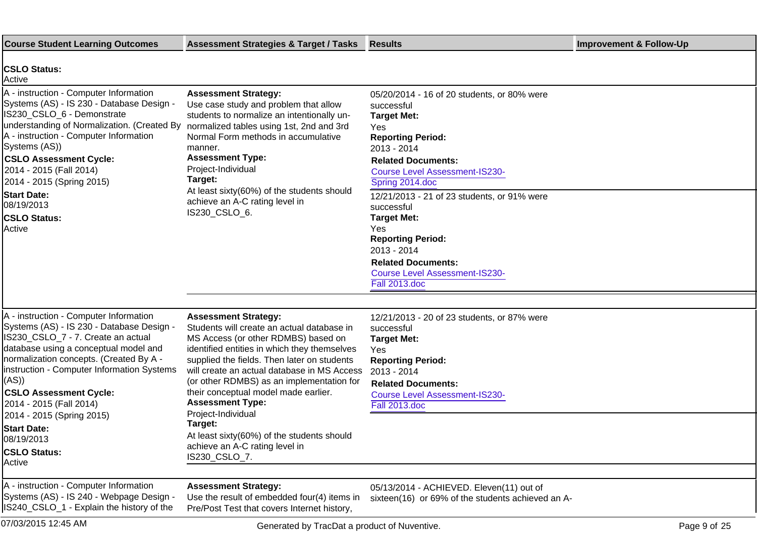| <b>Course Student Learning Outcomes</b>                                                                                                                                                                                                                                                                                                                       | <b>Assessment Strategies &amp; Target / Tasks</b>                                                                                                                                                                                                                                                                                                                                                    | Results                                                                                                                                                                                                                    | <b>Improvement &amp; Follow-Up</b> |
|---------------------------------------------------------------------------------------------------------------------------------------------------------------------------------------------------------------------------------------------------------------------------------------------------------------------------------------------------------------|------------------------------------------------------------------------------------------------------------------------------------------------------------------------------------------------------------------------------------------------------------------------------------------------------------------------------------------------------------------------------------------------------|----------------------------------------------------------------------------------------------------------------------------------------------------------------------------------------------------------------------------|------------------------------------|
| <b>CSLO Status:</b><br>Active                                                                                                                                                                                                                                                                                                                                 |                                                                                                                                                                                                                                                                                                                                                                                                      |                                                                                                                                                                                                                            |                                    |
| A - instruction - Computer Information<br>Systems (AS) - IS 230 - Database Design -<br>IS230_CSLO_6 - Demonstrate<br>understanding of Normalization. (Created By normalized tables using 1st, 2nd and 3rd<br>A - instruction - Computer Information<br>Systems (AS))<br><b>CSLO Assessment Cycle:</b><br>2014 - 2015 (Fall 2014)<br>2014 - 2015 (Spring 2015) | <b>Assessment Strategy:</b><br>Use case study and problem that allow<br>students to normalize an intentionally un-<br>Normal Form methods in accumulative<br>manner.<br><b>Assessment Type:</b><br>Project-Individual<br>Target:<br>At least sixty(60%) of the students should                                                                                                                       | 05/20/2014 - 16 of 20 students, or 80% were<br>successful<br><b>Target Met:</b><br>Yes<br><b>Reporting Period:</b><br>2013 - 2014<br><b>Related Documents:</b><br><b>Course Level Assessment-IS230-</b><br>Spring 2014.doc |                                    |
| <b>Start Date:</b><br>08/19/2013                                                                                                                                                                                                                                                                                                                              | achieve an A-C rating level in                                                                                                                                                                                                                                                                                                                                                                       | 12/21/2013 - 21 of 23 students, or 91% were<br>successful                                                                                                                                                                  |                                    |
| <b>CSLO Status:</b><br>Active                                                                                                                                                                                                                                                                                                                                 | IS230_CSLO_6.                                                                                                                                                                                                                                                                                                                                                                                        | <b>Target Met:</b><br>Yes<br><b>Reporting Period:</b><br>2013 - 2014<br><b>Related Documents:</b><br><b>Course Level Assessment-IS230-</b><br>Fall 2013.doc                                                                |                                    |
|                                                                                                                                                                                                                                                                                                                                                               |                                                                                                                                                                                                                                                                                                                                                                                                      |                                                                                                                                                                                                                            |                                    |
| A - instruction - Computer Information<br>Systems (AS) - IS 230 - Database Design -<br>IS230_CSLO_7 - 7. Create an actual<br>database using a conceptual model and<br>normalization concepts. (Created By A -<br>instruction - Computer Information Systems<br>((AS)<br><b>CSLO Assessment Cycle:</b><br>2014 - 2015 (Fall 2014)<br>2014 - 2015 (Spring 2015) | <b>Assessment Strategy:</b><br>Students will create an actual database in<br>MS Access (or other RDMBS) based on<br>identified entities in which they themselves<br>supplied the fields. Then later on students<br>will create an actual database in MS Access<br>(or other RDMBS) as an implementation for<br>their conceptual model made earlier.<br><b>Assessment Type:</b><br>Project-Individual | 12/21/2013 - 20 of 23 students, or 87% were<br>successful<br><b>Target Met:</b><br>Yes<br><b>Reporting Period:</b><br>2013 - 2014<br><b>Related Documents:</b><br><b>Course Level Assessment-IS230-</b><br>Fall 2013.doc   |                                    |
| <b>Start Date:</b><br>08/19/2013<br><b>CSLO Status:</b><br>Active                                                                                                                                                                                                                                                                                             | Target:<br>At least sixty(60%) of the students should<br>achieve an A-C rating level in<br>IS230_CSLO_7.                                                                                                                                                                                                                                                                                             |                                                                                                                                                                                                                            |                                    |
| A - instruction - Computer Information<br>Systems (AS) - IS 240 - Webpage Design -<br>IS240_CSLO_1 - Explain the history of the                                                                                                                                                                                                                               | <b>Assessment Strategy:</b><br>Use the result of embedded four(4) items in<br>Pre/Post Test that covers Internet history,                                                                                                                                                                                                                                                                            | 05/13/2014 - ACHIEVED. Eleven(11) out of<br>sixteen(16) or 69% of the students achieved an A-                                                                                                                              |                                    |

07/03/2015 12:45 AM Generated by TracDat a product of Nuventive. Page 9 of 25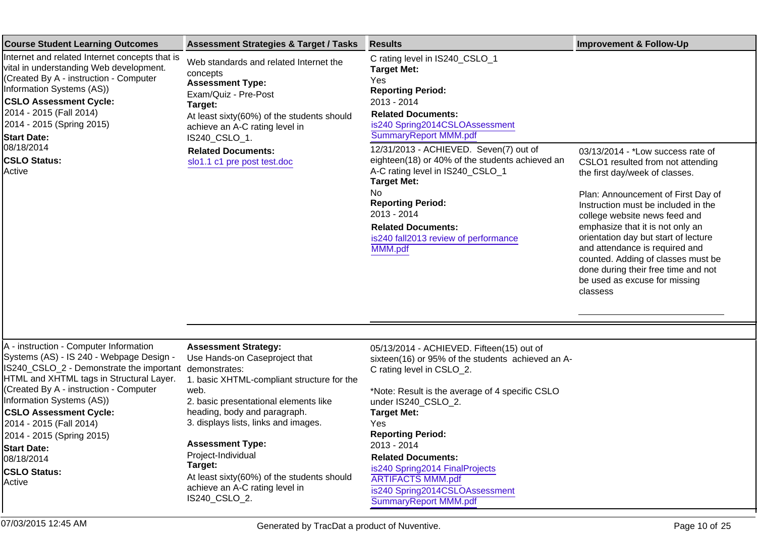| <b>Course Student Learning Outcomes</b>                                                                                                                                                                                                                                                                                                                                                               | <b>Assessment Strategies &amp; Target / Tasks</b>                                                                                                                                                                                                                                                                | <b>Results</b>                                                                                                                                                                                                                                                                                                                                                                                                                                                                                | <b>Improvement &amp; Follow-Up</b>                                                                                                                                                                                                                                                                                                                                                                                                                             |
|-------------------------------------------------------------------------------------------------------------------------------------------------------------------------------------------------------------------------------------------------------------------------------------------------------------------------------------------------------------------------------------------------------|------------------------------------------------------------------------------------------------------------------------------------------------------------------------------------------------------------------------------------------------------------------------------------------------------------------|-----------------------------------------------------------------------------------------------------------------------------------------------------------------------------------------------------------------------------------------------------------------------------------------------------------------------------------------------------------------------------------------------------------------------------------------------------------------------------------------------|----------------------------------------------------------------------------------------------------------------------------------------------------------------------------------------------------------------------------------------------------------------------------------------------------------------------------------------------------------------------------------------------------------------------------------------------------------------|
| Internet and related Internet concepts that is<br>vital in understanding Web development.<br>(Created By A - instruction - Computer<br>Information Systems (AS))<br><b>CSLO Assessment Cycle:</b><br>2014 - 2015 (Fall 2014)<br>2014 - 2015 (Spring 2015)<br><b>Start Date:</b><br>08/18/2014<br><b>CSLO Status:</b><br>Active                                                                        | Web standards and related Internet the<br>concepts<br><b>Assessment Type:</b><br>Exam/Quiz - Pre-Post<br>Target:<br>At least sixty(60%) of the students should<br>achieve an A-C rating level in<br>IS240_CSLO_1.<br><b>Related Documents:</b><br>slo1.1 c1 pre post test.doc                                    | C rating level in IS240_CSLO_1<br><b>Target Met:</b><br>Yes<br><b>Reporting Period:</b><br>2013 - 2014<br><b>Related Documents:</b><br>is240 Spring2014CSLOAssessment<br>SummaryReport MMM.pdf<br>12/31/2013 - ACHIEVED. Seven(7) out of<br>eighteen(18) or 40% of the students achieved an<br>A-C rating level in IS240_CSLO_1<br><b>Target Met:</b><br><b>No</b><br><b>Reporting Period:</b><br>2013 - 2014<br><b>Related Documents:</b><br>is240 fall2013 review of performance<br>MMM.pdf | 03/13/2014 - *Low success rate of<br>CSLO1 resulted from not attending<br>the first day/week of classes.<br>Plan: Announcement of First Day of<br>Instruction must be included in the<br>college website news feed and<br>emphasize that it is not only an<br>orientation day but start of lecture<br>and attendance is required and<br>counted. Adding of classes must be<br>done during their free time and not<br>be used as excuse for missing<br>classess |
| A - instruction - Computer Information<br>Systems (AS) - IS 240 - Webpage Design -<br>IS240_CSLO_2 - Demonstrate the important<br>HTML and XHTML tags in Structural Layer.<br>(Created By A - instruction - Computer<br>Information Systems (AS))<br><b>CSLO Assessment Cycle:</b><br>2014 - 2015 (Fall 2014)<br>2014 - 2015 (Spring 2015)<br><b>Start Date:</b><br>08/18/2014<br><b>CSLO Status:</b> | <b>Assessment Strategy:</b><br>Use Hands-on Caseproject that<br>demonstrates:<br>1. basic XHTML-compliant structure for the<br>web.<br>2. basic presentational elements like<br>heading, body and paragraph.<br>3. displays lists, links and images.<br><b>Assessment Type:</b><br>Project-Individual<br>Target: | 05/13/2014 - ACHIEVED. Fifteen(15) out of<br>sixteen(16) or 95% of the students achieved an A-<br>C rating level in CSLO_2.<br>*Note: Result is the average of 4 specific CSLO<br>under IS240 CSLO 2.<br><b>Target Met:</b><br>Yes<br><b>Reporting Period:</b><br>2013 - 2014<br><b>Related Documents:</b><br>is240 Spring2014 FinalProjects                                                                                                                                                  |                                                                                                                                                                                                                                                                                                                                                                                                                                                                |
| Active                                                                                                                                                                                                                                                                                                                                                                                                | At least sixty(60%) of the students should<br>achieve an A-C rating level in                                                                                                                                                                                                                                     | <b>ARTIFACTS MMM.pdf</b><br>is 240 Spring 2014CSL OAssessment                                                                                                                                                                                                                                                                                                                                                                                                                                 |                                                                                                                                                                                                                                                                                                                                                                                                                                                                |

[is240 Spring2014CSLOAssessment](https://comfsm.tracdat.com:443/tracdat/viewDocument?y=W8hiJlkSb1Ba) [SummaryReport MMM.pdf](https://comfsm.tracdat.com:443/tracdat/viewDocument?y=W8hiJlkSb1Ba)

IS240\_CSLO\_2.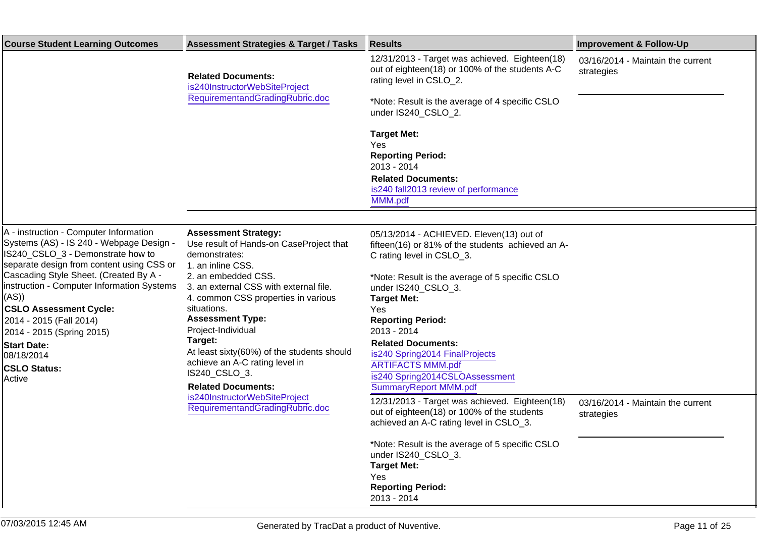| <b>Course Student Learning Outcomes</b>                                             | <b>Assessment Strategies &amp; Target / Tasks</b>                                                              | <b>Results</b>                                                                                                                           | <b>Improvement &amp; Follow-Up</b>              |
|-------------------------------------------------------------------------------------|----------------------------------------------------------------------------------------------------------------|------------------------------------------------------------------------------------------------------------------------------------------|-------------------------------------------------|
|                                                                                     | <b>Related Documents:</b><br>is240InstructorWebSiteProject<br>RequirementandGradingRubric.doc                  | 12/31/2013 - Target was achieved. Eighteen(18)<br>out of eighteen(18) or 100% of the students A-C<br>rating level in CSLO_2.             | 03/16/2014 - Maintain the current<br>strategies |
|                                                                                     |                                                                                                                | *Note: Result is the average of 4 specific CSLO<br>under IS240 CSLO 2.                                                                   |                                                 |
|                                                                                     |                                                                                                                | <b>Target Met:</b>                                                                                                                       |                                                 |
|                                                                                     |                                                                                                                | Yes<br><b>Reporting Period:</b>                                                                                                          |                                                 |
|                                                                                     |                                                                                                                | 2013 - 2014                                                                                                                              |                                                 |
|                                                                                     |                                                                                                                | <b>Related Documents:</b>                                                                                                                |                                                 |
|                                                                                     |                                                                                                                | is240 fall2013 review of performance<br>MMM.pdf                                                                                          |                                                 |
|                                                                                     |                                                                                                                |                                                                                                                                          |                                                 |
| A - instruction - Computer Information                                              | <b>Assessment Strategy:</b>                                                                                    | 05/13/2014 - ACHIEVED. Eleven(13) out of                                                                                                 |                                                 |
| Systems (AS) - IS 240 - Webpage Design -                                            | Use result of Hands-on CaseProject that                                                                        | fifteen(16) or 81% of the students achieved an A-                                                                                        |                                                 |
| IS240_CSLO_3 - Demonstrate how to                                                   | demonstrates:                                                                                                  | C rating level in CSLO_3.                                                                                                                |                                                 |
| separate design from content using CSS or<br>Cascading Style Sheet. (Created By A - | 1. an inline CSS.<br>2. an embedded CSS.                                                                       | *Note: Result is the average of 5 specific CSLO                                                                                          |                                                 |
| instruction - Computer Information Systems                                          | 3. an external CSS with external file.                                                                         | under IS240_CSLO_3.                                                                                                                      |                                                 |
| (AS))                                                                               | 4. common CSS properties in various                                                                            | <b>Target Met:</b>                                                                                                                       |                                                 |
| <b>CSLO Assessment Cycle:</b>                                                       | situations.                                                                                                    | <b>Yes</b>                                                                                                                               |                                                 |
| 2014 - 2015 (Fall 2014)<br>2014 - 2015 (Spring 2015)                                | <b>Assessment Type:</b><br>Project-Individual                                                                  | <b>Reporting Period:</b><br>2013 - 2014                                                                                                  |                                                 |
| <b>Start Date:</b>                                                                  | Target:                                                                                                        | <b>Related Documents:</b>                                                                                                                |                                                 |
| 08/18/2014                                                                          | At least sixty(60%) of the students should                                                                     | is240 Spring2014 FinalProjects                                                                                                           |                                                 |
| <b>CSLO Status:</b>                                                                 | achieve an A-C rating level in                                                                                 | <b>ARTIFACTS MMM.pdf</b>                                                                                                                 |                                                 |
| Active                                                                              | IS240_CSLO_3.<br><b>Related Documents:</b><br>is240InstructorWebSiteProject<br>RequirementandGradingRubric.doc | is240 Spring2014CSLOAssessment<br>SummaryReport MMM.pdf                                                                                  |                                                 |
|                                                                                     |                                                                                                                | 12/31/2013 - Target was achieved. Eighteen(18)<br>out of eighteen(18) or 100% of the students<br>achieved an A-C rating level in CSLO_3. | 03/16/2014 - Maintain the current<br>strategies |
|                                                                                     |                                                                                                                | *Note: Result is the average of 5 specific CSLO<br>under IS240_CSLO_3.                                                                   |                                                 |
|                                                                                     |                                                                                                                | <b>Target Met:</b>                                                                                                                       |                                                 |
|                                                                                     |                                                                                                                | Yes<br><b>Reporting Period:</b>                                                                                                          |                                                 |
|                                                                                     |                                                                                                                | 2013 - 2014                                                                                                                              |                                                 |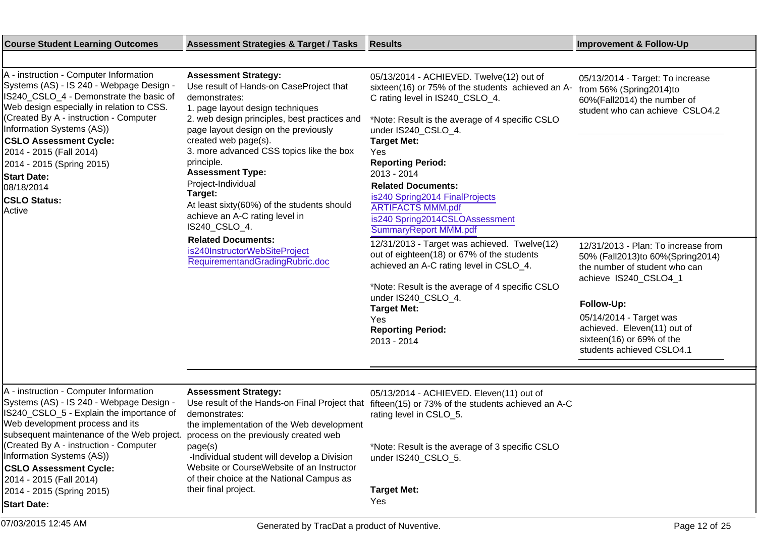| <b>Course Student Learning Outcomes</b>                                                                                                                                                                                                                                                                                                                                                                         | <b>Assessment Strategies &amp; Target / Tasks</b>                                                                                                                                                                                                                                                                                                                                                                                                                  | <b>Results</b>                                                                                                                                                                                                                                                                                                                                                                                                                                  | <b>Improvement &amp; Follow-Up</b>                                                                                                                                                                                                                                   |
|-----------------------------------------------------------------------------------------------------------------------------------------------------------------------------------------------------------------------------------------------------------------------------------------------------------------------------------------------------------------------------------------------------------------|--------------------------------------------------------------------------------------------------------------------------------------------------------------------------------------------------------------------------------------------------------------------------------------------------------------------------------------------------------------------------------------------------------------------------------------------------------------------|-------------------------------------------------------------------------------------------------------------------------------------------------------------------------------------------------------------------------------------------------------------------------------------------------------------------------------------------------------------------------------------------------------------------------------------------------|----------------------------------------------------------------------------------------------------------------------------------------------------------------------------------------------------------------------------------------------------------------------|
|                                                                                                                                                                                                                                                                                                                                                                                                                 |                                                                                                                                                                                                                                                                                                                                                                                                                                                                    |                                                                                                                                                                                                                                                                                                                                                                                                                                                 |                                                                                                                                                                                                                                                                      |
| A - instruction - Computer Information<br>Systems (AS) - IS 240 - Webpage Design -<br>IS240_CSLO_4 - Demonstrate the basic of<br>Web design especially in relation to CSS.<br>(Created By A - instruction - Computer<br>Information Systems (AS))<br><b>CSLO Assessment Cycle:</b><br>2014 - 2015 (Fall 2014)<br>2014 - 2015 (Spring 2015)<br><b>Start Date:</b><br>08/18/2014<br><b>CSLO Status:</b><br>Active | <b>Assessment Strategy:</b><br>Use result of Hands-on CaseProject that<br>demonstrates:<br>1. page layout design techniques<br>2. web design principles, best practices and<br>page layout design on the previously<br>created web page(s).<br>3. more advanced CSS topics like the box<br>principle.<br><b>Assessment Type:</b><br>Project-Individual<br>Target:<br>At least sixty(60%) of the students should<br>achieve an A-C rating level in<br>IS240_CSLO_4. | 05/13/2014 - ACHIEVED. Twelve(12) out of<br>sixteen(16) or 75% of the students achieved an A-<br>C rating level in IS240_CSLO_4.<br>*Note: Result is the average of 4 specific CSLO<br>under IS240_CSLO_4.<br><b>Target Met:</b><br><b>Yes</b><br><b>Reporting Period:</b><br>2013 - 2014<br><b>Related Documents:</b><br>is240 Spring2014 FinalProjects<br><b>ARTIFACTS MMM.pdf</b><br>is240 Spring2014CSLOAssessment<br>SummaryReport MMM.pdf | 05/13/2014 - Target: To increase<br>from 56% (Spring2014)to<br>60%(Fall2014) the number of<br>student who can achieve CSLO4.2                                                                                                                                        |
|                                                                                                                                                                                                                                                                                                                                                                                                                 | <b>Related Documents:</b><br>is240InstructorWebSiteProject<br>RequirementandGradingRubric.doc                                                                                                                                                                                                                                                                                                                                                                      | 12/31/2013 - Target was achieved. Twelve(12)<br>out of eighteen(18) or 67% of the students<br>achieved an A-C rating level in CSLO_4.<br>*Note: Result is the average of 4 specific CSLO<br>under IS240_CSLO_4.<br><b>Target Met:</b><br>Yes<br><b>Reporting Period:</b><br>2013 - 2014                                                                                                                                                         | 12/31/2013 - Plan: To increase from<br>50% (Fall2013)to 60% (Spring2014)<br>the number of student who can<br>achieve IS240 CSLO4 1<br>Follow-Up:<br>05/14/2014 - Target was<br>achieved. Eleven(11) out of<br>sixteen(16) or 69% of the<br>students achieved CSLO4.1 |
| A - instruction - Computer Information<br>Systems (AS) - IS 240 - Webpage Design -<br>IS240_CSLO_5 - Explain the importance of<br>Web development process and its                                                                                                                                                                                                                                               | <b>Assessment Strategy:</b><br>Use result of the Hands-on Final Project that<br>demonstrates:<br>the implementation of the Web development                                                                                                                                                                                                                                                                                                                         | 05/13/2014 - ACHIEVED. Eleven(11) out of<br>fifteen(15) or 73% of the students achieved an A-C<br>rating level in CSLO_5.                                                                                                                                                                                                                                                                                                                       |                                                                                                                                                                                                                                                                      |
| subsequent maintenance of the Web project.<br>(Created By A - instruction - Computer<br>Information Systems (AS))<br><b>CSLO Assessment Cycle:</b><br>2014 - 2015 (Fall 2014)                                                                                                                                                                                                                                   | process on the previously created web<br>page(s)<br>-Individual student will develop a Division<br>Website or CourseWebsite of an Instructor<br>of their choice at the National Campus as                                                                                                                                                                                                                                                                          | *Note: Result is the average of 3 specific CSLO<br>under IS240 CSLO 5.                                                                                                                                                                                                                                                                                                                                                                          |                                                                                                                                                                                                                                                                      |
| 2014 - 2015 (Spring 2015)<br><b>Start Date:</b>                                                                                                                                                                                                                                                                                                                                                                 | their final project.                                                                                                                                                                                                                                                                                                                                                                                                                                               | <b>Target Met:</b><br>Yes                                                                                                                                                                                                                                                                                                                                                                                                                       |                                                                                                                                                                                                                                                                      |
| 07/03/2015 12:45 AM                                                                                                                                                                                                                                                                                                                                                                                             | Generated by TracDat a product of Nuventive.                                                                                                                                                                                                                                                                                                                                                                                                                       |                                                                                                                                                                                                                                                                                                                                                                                                                                                 | Page 12 of 25                                                                                                                                                                                                                                                        |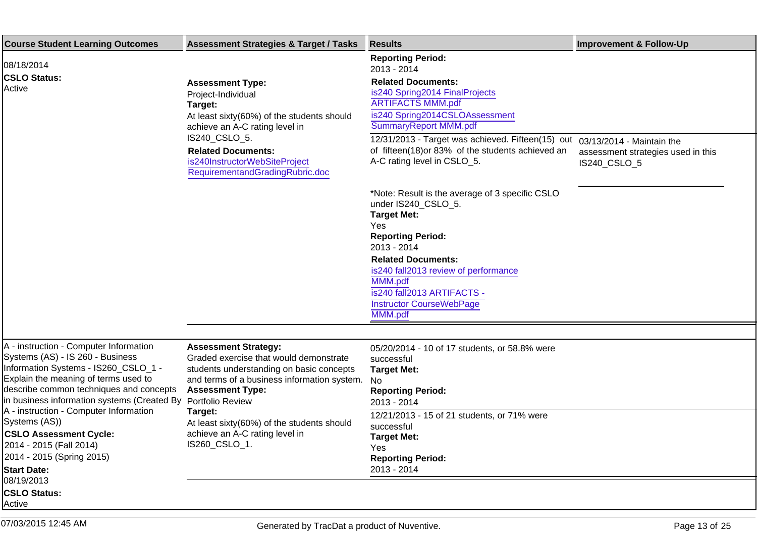| <b>Course Student Learning Outcomes</b>                                                                                                                                                                                                                               | <b>Assessment Strategies &amp; Target / Tasks</b>                                                                                                                                           | <b>Results</b>                                                                                                                                                                                | <b>Improvement &amp; Follow-Up</b>                 |
|-----------------------------------------------------------------------------------------------------------------------------------------------------------------------------------------------------------------------------------------------------------------------|---------------------------------------------------------------------------------------------------------------------------------------------------------------------------------------------|-----------------------------------------------------------------------------------------------------------------------------------------------------------------------------------------------|----------------------------------------------------|
| 08/18/2014<br><b>CSLO Status:</b><br>Active                                                                                                                                                                                                                           | <b>Assessment Type:</b><br>Project-Individual<br>Target:<br>At least sixty(60%) of the students should<br>achieve an A-C rating level in                                                    | <b>Reporting Period:</b><br>2013 - 2014<br><b>Related Documents:</b><br>is240 Spring2014 FinalProjects<br><b>ARTIFACTS MMM.pdf</b><br>is240 Spring2014CSLOAssessment<br>SummaryReport MMM.pdf |                                                    |
|                                                                                                                                                                                                                                                                       | IS240_CSLO_5.<br><b>Related Documents:</b><br>is240InstructorWebSiteProject<br>RequirementandGradingRubric.doc                                                                              | 12/31/2013 - Target was achieved. Fifteen(15) out 03/13/2014 - Maintain the<br>of fifteen(18) or 83% of the students achieved an<br>A-C rating level in CSLO_5.                               | assessment strategies used in this<br>IS240_CSLO_5 |
|                                                                                                                                                                                                                                                                       |                                                                                                                                                                                             | *Note: Result is the average of 3 specific CSLO<br>under IS240_CSLO_5.<br><b>Target Met:</b><br>Yes<br><b>Reporting Period:</b>                                                               |                                                    |
|                                                                                                                                                                                                                                                                       |                                                                                                                                                                                             | 2013 - 2014<br><b>Related Documents:</b><br>is240 fall2013 review of performance<br>MMM.pdf                                                                                                   |                                                    |
|                                                                                                                                                                                                                                                                       |                                                                                                                                                                                             | is240 fall2013 ARTIFACTS -<br><b>Instructor CourseWebPage</b><br>MMM.pdf                                                                                                                      |                                                    |
|                                                                                                                                                                                                                                                                       |                                                                                                                                                                                             |                                                                                                                                                                                               |                                                    |
| A - instruction - Computer Information<br>Systems (AS) - IS 260 - Business<br>Information Systems - IS260_CSLO_1 -<br>Explain the meaning of terms used to<br>describe common techniques and concepts<br>in business information systems (Created By Portfolio Review | <b>Assessment Strategy:</b><br>Graded exercise that would demonstrate<br>students understanding on basic concepts<br>and terms of a business information system.<br><b>Assessment Type:</b> | 05/20/2014 - 10 of 17 students, or 58.8% were<br>successful<br><b>Target Met:</b><br>No<br><b>Reporting Period:</b><br>2013 - 2014                                                            |                                                    |
| A - instruction - Computer Information<br>Systems (AS))<br><b>CSLO Assessment Cycle:</b><br>2014 - 2015 (Fall 2014)<br>2014 - 2015 (Spring 2015)                                                                                                                      | Target:<br>At least sixty(60%) of the students should<br>achieve an A-C rating level in<br>IS260_CSLO_1.                                                                                    | 12/21/2013 - 15 of 21 students, or 71% were<br>successful<br><b>Target Met:</b><br>Yes<br><b>Reporting Period:</b>                                                                            |                                                    |
| <b>Start Date:</b><br>08/19/2013                                                                                                                                                                                                                                      |                                                                                                                                                                                             | 2013 - 2014                                                                                                                                                                                   |                                                    |
| <b>CSLO Status:</b><br>Active                                                                                                                                                                                                                                         |                                                                                                                                                                                             |                                                                                                                                                                                               |                                                    |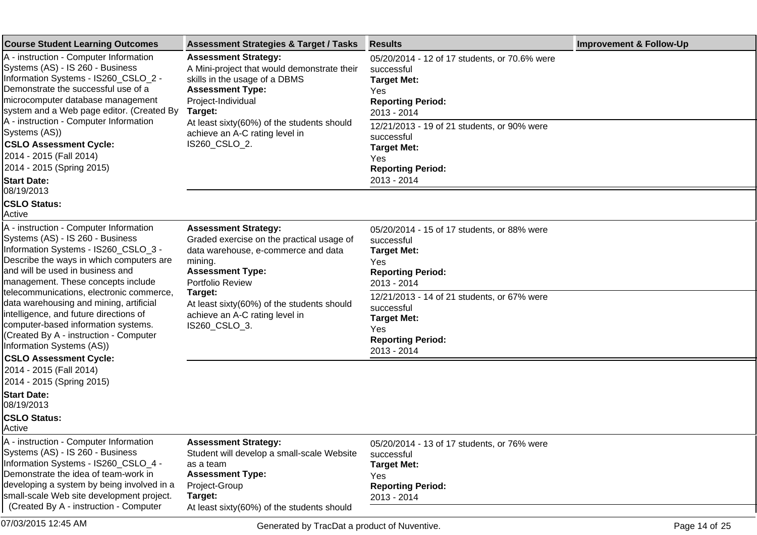| <b>Course Student Learning Outcomes</b>                                                                                                                                                                                                                                                         | <b>Assessment Strategies &amp; Target / Tasks</b>                                                                                                                                           | <b>Results</b>                                                                                                                      | <b>Improvement &amp; Follow-Up</b> |
|-------------------------------------------------------------------------------------------------------------------------------------------------------------------------------------------------------------------------------------------------------------------------------------------------|---------------------------------------------------------------------------------------------------------------------------------------------------------------------------------------------|-------------------------------------------------------------------------------------------------------------------------------------|------------------------------------|
| A - instruction - Computer Information<br>Systems (AS) - IS 260 - Business<br>Information Systems - IS260_CSLO_2 -<br>Demonstrate the successful use of a<br>microcomputer database management<br>system and a Web page editor. (Created By                                                     | <b>Assessment Strategy:</b><br>A Mini-project that would demonstrate their<br>skills in the usage of a DBMS<br><b>Assessment Type:</b><br>Project-Individual<br>Target:                     | 05/20/2014 - 12 of 17 students, or 70.6% were<br>successful<br><b>Target Met:</b><br>Yes<br><b>Reporting Period:</b><br>2013 - 2014 |                                    |
| A - instruction - Computer Information<br>Systems (AS))<br><b>CSLO Assessment Cycle:</b><br>2014 - 2015 (Fall 2014)<br>2014 - 2015 (Spring 2015)<br><b>Start Date:</b>                                                                                                                          | At least sixty(60%) of the students should<br>achieve an A-C rating level in<br>IS260_CSLO_2.                                                                                               | 12/21/2013 - 19 of 21 students, or 90% were<br>successful<br><b>Target Met:</b><br>Yes<br><b>Reporting Period:</b><br>2013 - 2014   |                                    |
| 08/19/2013<br><b>CSLO Status:</b><br>Active                                                                                                                                                                                                                                                     |                                                                                                                                                                                             |                                                                                                                                     |                                    |
| A - instruction - Computer Information<br>Systems (AS) - IS 260 - Business<br>Information Systems - IS260_CSLO_3 -<br>Describe the ways in which computers are<br>and will be used in business and<br>management. These concepts include                                                        | <b>Assessment Strategy:</b><br>Graded exercise on the practical usage of<br>data warehouse, e-commerce and data<br>mining.<br><b>Assessment Type:</b><br>Portfolio Review                   | 05/20/2014 - 15 of 17 students, or 88% were<br>successful<br><b>Target Met:</b><br>Yes<br><b>Reporting Period:</b><br>2013 - 2014   |                                    |
| telecommunications, electronic commerce,<br>data warehousing and mining, artificial<br>intelligence, and future directions of<br>computer-based information systems.<br>(Created By A - instruction - Computer<br>Information Systems (AS))<br><b>CSLO Assessment Cycle:</b>                    | Target:<br>At least sixty(60%) of the students should<br>achieve an A-C rating level in<br>IS260_CSLO_3.                                                                                    | 12/21/2013 - 14 of 21 students, or 67% were<br>successful<br><b>Target Met:</b><br>Yes<br><b>Reporting Period:</b><br>2013 - 2014   |                                    |
| 2014 - 2015 (Fall 2014)<br>2014 - 2015 (Spring 2015)                                                                                                                                                                                                                                            |                                                                                                                                                                                             |                                                                                                                                     |                                    |
| <b>Start Date:</b><br>08/19/2013<br><b>CSLO Status:</b><br>Active                                                                                                                                                                                                                               |                                                                                                                                                                                             |                                                                                                                                     |                                    |
| A - instruction - Computer Information<br>Systems (AS) - IS 260 - Business<br>Information Systems - IS260_CSLO_4 -<br>Demonstrate the idea of team-work in<br>developing a system by being involved in a<br>small-scale Web site development project.<br>(Created By A - instruction - Computer | <b>Assessment Strategy:</b><br>Student will develop a small-scale Website<br>as a team<br><b>Assessment Type:</b><br>Project-Group<br>Target:<br>At least sixty(60%) of the students should | 05/20/2014 - 13 of 17 students, or 76% were<br>successful<br><b>Target Met:</b><br>Yes<br><b>Reporting Period:</b><br>2013 - 2014   |                                    |

07/03/2015 12:45 AM Generated by TracDat a product of Nuventive.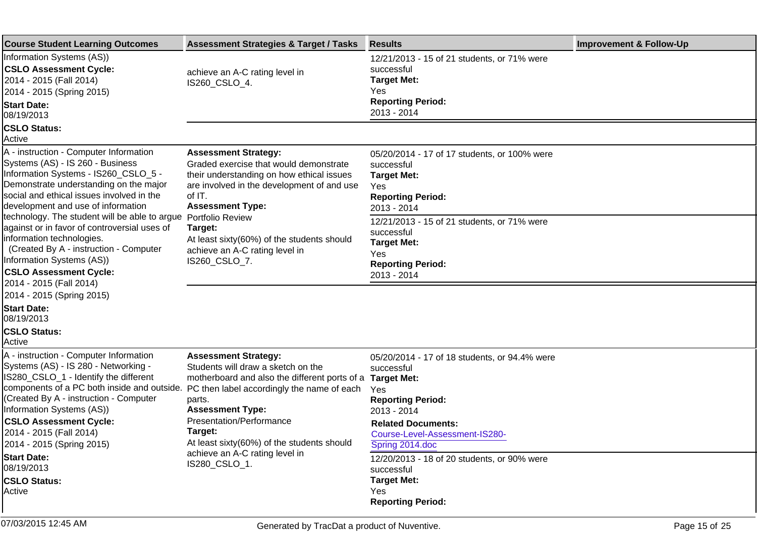| <b>Course Student Learning Outcomes</b>                                                                                                                                                                                                                                                                                                                      | <b>Assessment Strategies &amp; Target / Tasks</b>                                                                                                                                                                                                                                                                                             | <b>Results</b>                                                                                                                                                                                                                                                       | <b>Improvement &amp; Follow-Up</b> |
|--------------------------------------------------------------------------------------------------------------------------------------------------------------------------------------------------------------------------------------------------------------------------------------------------------------------------------------------------------------|-----------------------------------------------------------------------------------------------------------------------------------------------------------------------------------------------------------------------------------------------------------------------------------------------------------------------------------------------|----------------------------------------------------------------------------------------------------------------------------------------------------------------------------------------------------------------------------------------------------------------------|------------------------------------|
| Information Systems (AS))<br><b>CSLO Assessment Cycle:</b><br>2014 - 2015 (Fall 2014)<br>2014 - 2015 (Spring 2015)<br><b>Start Date:</b><br>08/19/2013                                                                                                                                                                                                       | achieve an A-C rating level in<br>IS260_CSLO_4.                                                                                                                                                                                                                                                                                               | 12/21/2013 - 15 of 21 students, or 71% were<br>successful<br><b>Target Met:</b><br>Yes<br><b>Reporting Period:</b><br>2013 - 2014                                                                                                                                    |                                    |
| <b>CSLO Status:</b><br>Active                                                                                                                                                                                                                                                                                                                                |                                                                                                                                                                                                                                                                                                                                               |                                                                                                                                                                                                                                                                      |                                    |
| A - instruction - Computer Information<br>Systems (AS) - IS 260 - Business<br>Information Systems - IS260_CSLO_5 -<br>Demonstrate understanding on the major<br>social and ethical issues involved in the<br>development and use of information<br>technology. The student will be able to argue                                                             | <b>Assessment Strategy:</b><br>Graded exercise that would demonstrate<br>their understanding on how ethical issues<br>are involved in the development of and use<br>of IT.<br><b>Assessment Type:</b><br>Portfolio Review                                                                                                                     | 05/20/2014 - 17 of 17 students, or 100% were<br>successful<br><b>Target Met:</b><br>Yes<br><b>Reporting Period:</b><br>2013 - 2014<br>12/21/2013 - 15 of 21 students, or 71% were                                                                                    |                                    |
| against or in favor of controversial uses of<br>information technologies.<br>(Created By A - instruction - Computer<br>Information Systems (AS))<br><b>CSLO Assessment Cycle:</b><br>2014 - 2015 (Fall 2014)                                                                                                                                                 | Target:<br>At least sixty(60%) of the students should<br>achieve an A-C rating level in<br>IS260_CSLO_7.                                                                                                                                                                                                                                      | successful<br><b>Target Met:</b><br>Yes<br><b>Reporting Period:</b><br>2013 - 2014                                                                                                                                                                                   |                                    |
| 2014 - 2015 (Spring 2015)<br><b>Start Date:</b><br>08/19/2013                                                                                                                                                                                                                                                                                                |                                                                                                                                                                                                                                                                                                                                               |                                                                                                                                                                                                                                                                      |                                    |
| <b>CSLO Status:</b><br>Active                                                                                                                                                                                                                                                                                                                                |                                                                                                                                                                                                                                                                                                                                               |                                                                                                                                                                                                                                                                      |                                    |
| A - instruction - Computer Information<br>Systems (AS) - IS 280 - Networking -<br>IS280_CSLO_1 - Identify the different<br>components of a PC both inside and outside.<br>(Created By A - instruction - Computer<br>Information Systems (AS))<br><b>CSLO Assessment Cycle:</b><br>2014 - 2015 (Fall 2014)<br>2014 - 2015 (Spring 2015)<br><b>Start Date:</b> | <b>Assessment Strategy:</b><br>Students will draw a sketch on the<br>motherboard and also the different ports of a<br>PC then label accordingly the name of each<br>parts.<br><b>Assessment Type:</b><br>Presentation/Performance<br>Target:<br>At least sixty(60%) of the students should<br>achieve an A-C rating level in<br>IS280_CSLO_1. | 05/20/2014 - 17 of 18 students, or 94.4% were<br>successful<br><b>Target Met:</b><br>Yes<br><b>Reporting Period:</b><br>2013 - 2014<br><b>Related Documents:</b><br>Course-Level-Assessment-IS280-<br>Spring 2014.doc<br>12/20/2013 - 18 of 20 students, or 90% were |                                    |
| 08/19/2013<br><b>CSLO Status:</b><br>Active                                                                                                                                                                                                                                                                                                                  |                                                                                                                                                                                                                                                                                                                                               | successful<br><b>Target Met:</b><br>Yes<br><b>Reporting Period:</b>                                                                                                                                                                                                  |                                    |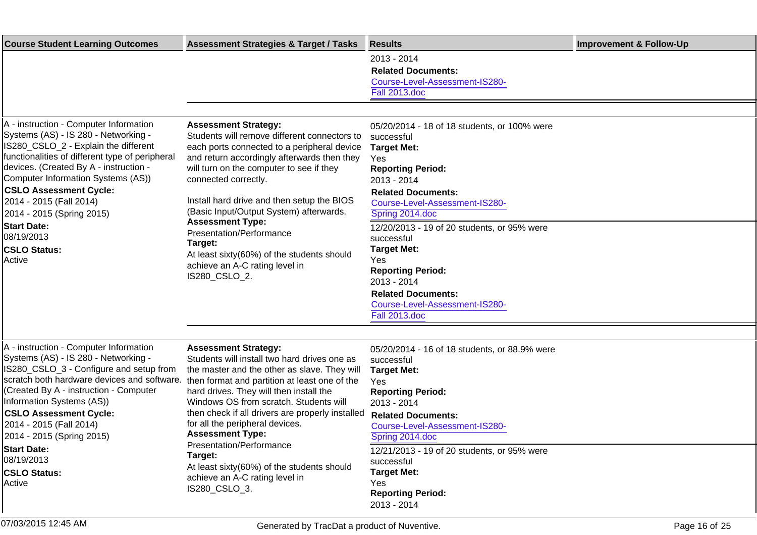| <b>Course Student Learning Outcomes</b>                                                                                                                                                                                                                                                                                                            | <b>Assessment Strategies &amp; Target / Tasks</b>                                                                                                                                                                                                                                                                                                                                                               | <b>Results</b>                                                                                                                                                                                                              | <b>Improvement &amp; Follow-Up</b> |
|----------------------------------------------------------------------------------------------------------------------------------------------------------------------------------------------------------------------------------------------------------------------------------------------------------------------------------------------------|-----------------------------------------------------------------------------------------------------------------------------------------------------------------------------------------------------------------------------------------------------------------------------------------------------------------------------------------------------------------------------------------------------------------|-----------------------------------------------------------------------------------------------------------------------------------------------------------------------------------------------------------------------------|------------------------------------|
|                                                                                                                                                                                                                                                                                                                                                    |                                                                                                                                                                                                                                                                                                                                                                                                                 | 2013 - 2014<br><b>Related Documents:</b><br>Course-Level-Assessment-IS280-<br><b>Fall 2013.doc</b>                                                                                                                          |                                    |
|                                                                                                                                                                                                                                                                                                                                                    |                                                                                                                                                                                                                                                                                                                                                                                                                 |                                                                                                                                                                                                                             |                                    |
| A - instruction - Computer Information<br>Systems (AS) - IS 280 - Networking -<br>IS280_CSLO_2 - Explain the different<br>functionalities of different type of peripheral<br>devices. (Created By A - instruction -<br>Computer Information Systems (AS))<br><b>CSLO Assessment Cycle:</b><br>2014 - 2015 (Fall 2014)<br>2014 - 2015 (Spring 2015) | <b>Assessment Strategy:</b><br>Students will remove different connectors to<br>each ports connected to a peripheral device<br>and return accordingly afterwards then they<br>will turn on the computer to see if they<br>connected correctly.<br>Install hard drive and then setup the BIOS<br>(Basic Input/Output System) afterwards.                                                                          | 05/20/2014 - 18 of 18 students, or 100% were<br>successful<br><b>Target Met:</b><br><b>Yes</b><br><b>Reporting Period:</b><br>2013 - 2014<br><b>Related Documents:</b><br>Course-Level-Assessment-IS280-<br>Spring 2014.doc |                                    |
| <b>Start Date:</b><br>08/19/2013<br><b>CSLO Status:</b><br> Active                                                                                                                                                                                                                                                                                 | <b>Assessment Type:</b><br>Presentation/Performance<br>Target:<br>At least sixty(60%) of the students should<br>achieve an A-C rating level in<br>IS280_CSLO_2.                                                                                                                                                                                                                                                 | 12/20/2013 - 19 of 20 students, or 95% were<br>successful<br><b>Target Met:</b><br>Yes<br><b>Reporting Period:</b><br>2013 - 2014<br><b>Related Documents:</b><br>Course-Level-Assessment-IS280-<br>Fall 2013.doc           |                                    |
|                                                                                                                                                                                                                                                                                                                                                    |                                                                                                                                                                                                                                                                                                                                                                                                                 |                                                                                                                                                                                                                             |                                    |
| A - instruction - Computer Information<br>Systems (AS) - IS 280 - Networking -<br>IS280_CSLO_3 - Configure and setup from<br>scratch both hardware devices and software.<br>(Created By A - instruction - Computer<br>Information Systems (AS))<br><b>CSLO Assessment Cycle:</b><br>2014 - 2015 (Fall 2014)<br>2014 - 2015 (Spring 2015)           | <b>Assessment Strategy:</b><br>Students will install two hard drives one as<br>the master and the other as slave. They will<br>then format and partition at least one of the<br>hard drives. They will then install the<br>Windows OS from scratch. Students will<br>then check if all drivers are properly installed<br>for all the peripheral devices.<br><b>Assessment Type:</b><br>Presentation/Performance | 05/20/2014 - 16 of 18 students, or 88.9% were<br>successful<br><b>Target Met:</b><br>Yes<br><b>Reporting Period:</b><br>2013 - 2014<br><b>Related Documents:</b><br>Course-Level-Assessment-IS280-<br>Spring 2014.doc       |                                    |
| <b>Start Date:</b><br>08/19/2013<br><b>CSLO Status:</b><br>Active                                                                                                                                                                                                                                                                                  | Target:<br>At least sixty(60%) of the students should<br>achieve an A-C rating level in<br>IS280_CSLO_3.                                                                                                                                                                                                                                                                                                        | 12/21/2013 - 19 of 20 students, or 95% were<br>successful<br><b>Target Met:</b><br>Yes<br><b>Reporting Period:</b><br>2013 - 2014                                                                                           |                                    |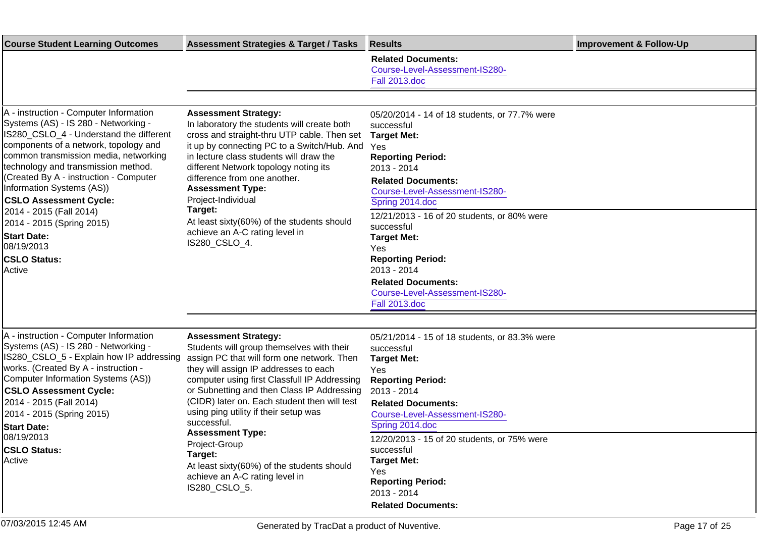| <b>Course Student Learning Outcomes</b>                                                                                                                                                                                                                                                                                                                                                                                                                                                 | <b>Assessment Strategies &amp; Target / Tasks</b>                                                                                                                                                                                                                                                                                                                                                                                                         | <b>Results</b>                                                                                                                                                                                                                                                                                                                                                                                                                                           | <b>Improvement &amp; Follow-Up</b> |
|-----------------------------------------------------------------------------------------------------------------------------------------------------------------------------------------------------------------------------------------------------------------------------------------------------------------------------------------------------------------------------------------------------------------------------------------------------------------------------------------|-----------------------------------------------------------------------------------------------------------------------------------------------------------------------------------------------------------------------------------------------------------------------------------------------------------------------------------------------------------------------------------------------------------------------------------------------------------|----------------------------------------------------------------------------------------------------------------------------------------------------------------------------------------------------------------------------------------------------------------------------------------------------------------------------------------------------------------------------------------------------------------------------------------------------------|------------------------------------|
|                                                                                                                                                                                                                                                                                                                                                                                                                                                                                         |                                                                                                                                                                                                                                                                                                                                                                                                                                                           | <b>Related Documents:</b><br>Course-Level-Assessment-IS280-<br><b>Fall 2013.doc</b>                                                                                                                                                                                                                                                                                                                                                                      |                                    |
| A - instruction - Computer Information<br>Systems (AS) - IS 280 - Networking -<br>IS280_CSLO_4 - Understand the different<br>components of a network, topology and<br>common transmission media, networking<br>technology and transmission method.<br>(Created By A - instruction - Computer<br>Information Systems (AS))<br><b>CSLO Assessment Cycle:</b><br>2014 - 2015 (Fall 2014)<br>2014 - 2015 (Spring 2015)<br><b>Start Date:</b><br>08/19/2013<br><b>CSLO Status:</b><br>Active | <b>Assessment Strategy:</b><br>In laboratory the students will create both<br>cross and straight-thru UTP cable. Then set<br>it up by connecting PC to a Switch/Hub. And<br>in lecture class students will draw the<br>different Network topology noting its<br>difference from one another.<br><b>Assessment Type:</b><br>Project-Individual<br>Target:<br>At least sixty(60%) of the students should<br>achieve an A-C rating level in<br>IS280_CSLO_4. | 05/20/2014 - 14 of 18 students, or 77.7% were<br>successful<br><b>Target Met:</b><br><b>Yes</b><br><b>Reporting Period:</b><br>2013 - 2014<br><b>Related Documents:</b><br>Course-Level-Assessment-IS280-<br>Spring 2014.doc<br>12/21/2013 - 16 of 20 students, or 80% were<br>successful<br><b>Target Met:</b><br>Yes<br><b>Reporting Period:</b><br>2013 - 2014<br><b>Related Documents:</b><br>Course-Level-Assessment-IS280-<br><b>Fall 2013.doc</b> |                                    |
|                                                                                                                                                                                                                                                                                                                                                                                                                                                                                         |                                                                                                                                                                                                                                                                                                                                                                                                                                                           |                                                                                                                                                                                                                                                                                                                                                                                                                                                          |                                    |
| A - instruction - Computer Information<br>Systems (AS) - IS 280 - Networking -<br>IS280_CSLO_5 - Explain how IP addressing<br>works. (Created By A - instruction -<br>Computer Information Systems (AS))<br><b>CSLO Assessment Cycle:</b><br>2014 - 2015 (Fall 2014)<br>2014 - 2015 (Spring 2015)<br><b>Start Date:</b><br>08/19/2013                                                                                                                                                   | <b>Assessment Strategy:</b><br>Students will group themselves with their<br>assign PC that will form one network. Then<br>they will assign IP addresses to each<br>computer using first Classfull IP Addressing<br>or Subnetting and then Class IP Addressing<br>(CIDR) later on. Each student then will test<br>using ping utility if their setup was<br>successful.<br><b>Assessment Type:</b><br>Project-Group                                         | 05/21/2014 - 15 of 18 students, or 83.3% were<br>successful<br><b>Target Met:</b><br>Yes<br><b>Reporting Period:</b><br>2013 - 2014<br><b>Related Documents:</b><br>Course-Level-Assessment-IS280-<br>Spring 2014.doc<br>12/20/2013 - 15 of 20 students, or 75% were                                                                                                                                                                                     |                                    |
| <b>CSLO Status:</b><br>Active                                                                                                                                                                                                                                                                                                                                                                                                                                                           | Target:<br>At least sixty(60%) of the students should<br>achieve an A-C rating level in<br>IS280_CSLO_5.                                                                                                                                                                                                                                                                                                                                                  | successful<br><b>Target Met:</b><br>Yes<br><b>Reporting Period:</b><br>2013 - 2014<br><b>Related Documents:</b>                                                                                                                                                                                                                                                                                                                                          |                                    |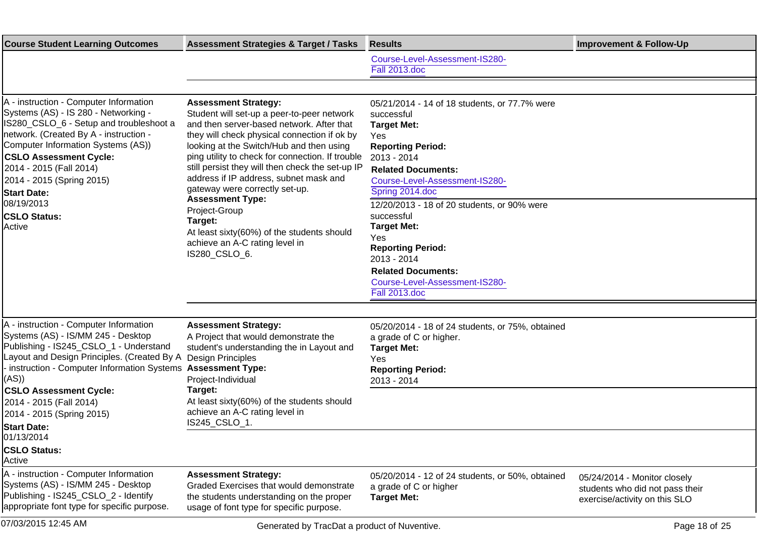| <b>Course Student Learning Outcomes</b>                                                                                                                                                                                                                                                                                                                                                                                        | <b>Assessment Strategies &amp; Target / Tasks</b>                                                                                                                                                                                                                                                                                                                                                      | <b>Results</b>                                                                                                                                                                                                           | <b>Improvement &amp; Follow-Up</b>                                                               |
|--------------------------------------------------------------------------------------------------------------------------------------------------------------------------------------------------------------------------------------------------------------------------------------------------------------------------------------------------------------------------------------------------------------------------------|--------------------------------------------------------------------------------------------------------------------------------------------------------------------------------------------------------------------------------------------------------------------------------------------------------------------------------------------------------------------------------------------------------|--------------------------------------------------------------------------------------------------------------------------------------------------------------------------------------------------------------------------|--------------------------------------------------------------------------------------------------|
|                                                                                                                                                                                                                                                                                                                                                                                                                                |                                                                                                                                                                                                                                                                                                                                                                                                        | Course-Level-Assessment-IS280-<br>Fall 2013.doc                                                                                                                                                                          |                                                                                                  |
|                                                                                                                                                                                                                                                                                                                                                                                                                                |                                                                                                                                                                                                                                                                                                                                                                                                        |                                                                                                                                                                                                                          |                                                                                                  |
| A - instruction - Computer Information<br>Systems (AS) - IS 280 - Networking -<br>IS280_CSLO_6 - Setup and troubleshoot a<br>network. (Created By A - instruction -<br>Computer Information Systems (AS))<br><b>CSLO Assessment Cycle:</b><br>2014 - 2015 (Fall 2014)<br>2014 - 2015 (Spring 2015)<br><b>Start Date:</b>                                                                                                       | <b>Assessment Strategy:</b><br>Student will set-up a peer-to-peer network<br>and then server-based network. After that<br>they will check physical connection if ok by<br>looking at the Switch/Hub and then using<br>ping utility to check for connection. If trouble<br>still persist they will then check the set-up IP<br>address if IP address, subnet mask and<br>gateway were correctly set-up. | 05/21/2014 - 14 of 18 students, or 77.7% were<br>successful<br><b>Target Met:</b><br>Yes<br><b>Reporting Period:</b><br>2013 - 2014<br><b>Related Documents:</b><br>Course-Level-Assessment-IS280-<br>Spring 2014.doc    |                                                                                                  |
| 08/19/2013<br><b>CSLO Status:</b><br>Active                                                                                                                                                                                                                                                                                                                                                                                    | <b>Assessment Type:</b><br>Project-Group<br>Target:<br>At least sixty(60%) of the students should<br>achieve an A-C rating level in<br>IS280_CSLO_6.                                                                                                                                                                                                                                                   | 12/20/2013 - 18 of 20 students, or 90% were<br>successful<br><b>Target Met:</b><br>Yes<br><b>Reporting Period:</b><br>2013 - 2014<br><b>Related Documents:</b><br>Course-Level-Assessment-IS280-<br><b>Fall 2013.doc</b> |                                                                                                  |
| A - instruction - Computer Information<br>Systems (AS) - IS/MM 245 - Desktop<br>Publishing - IS245_CSLO_1 - Understand<br>Layout and Design Principles. (Created By A Design Principles<br>- instruction - Computer Information Systems Assessment Type:<br>(AS)<br><b>CSLO Assessment Cycle:</b><br>2014 - 2015 (Fall 2014)<br>2014 - 2015 (Spring 2015)<br><b>Start Date:</b><br>01/13/2014<br><b>CSLO Status:</b><br>Active | <b>Assessment Strategy:</b><br>A Project that would demonstrate the<br>student's understanding the in Layout and<br>Project-Individual<br>Target:<br>At least sixty(60%) of the students should<br>achieve an A-C rating level in<br>IS245_CSLO_1.                                                                                                                                                     | 05/20/2014 - 18 of 24 students, or 75%, obtained<br>a grade of C or higher.<br><b>Target Met:</b><br>Yes<br><b>Reporting Period:</b><br>2013 - 2014                                                                      |                                                                                                  |
| A - instruction - Computer Information<br>Systems (AS) - IS/MM 245 - Desktop<br>Publishing - IS245_CSLO_2 - Identify<br>appropriate font type for specific purpose.                                                                                                                                                                                                                                                            | <b>Assessment Strategy:</b><br>Graded Exercises that would demonstrate<br>the students understanding on the proper<br>usage of font type for specific purpose.                                                                                                                                                                                                                                         | 05/20/2014 - 12 of 24 students, or 50%, obtained<br>a grade of C or higher<br><b>Target Met:</b>                                                                                                                         | 05/24/2014 - Monitor closely<br>students who did not pass their<br>exercise/activity on this SLO |

07/03/2015 12:45 AM Generated by TracDat a product of Nuventive.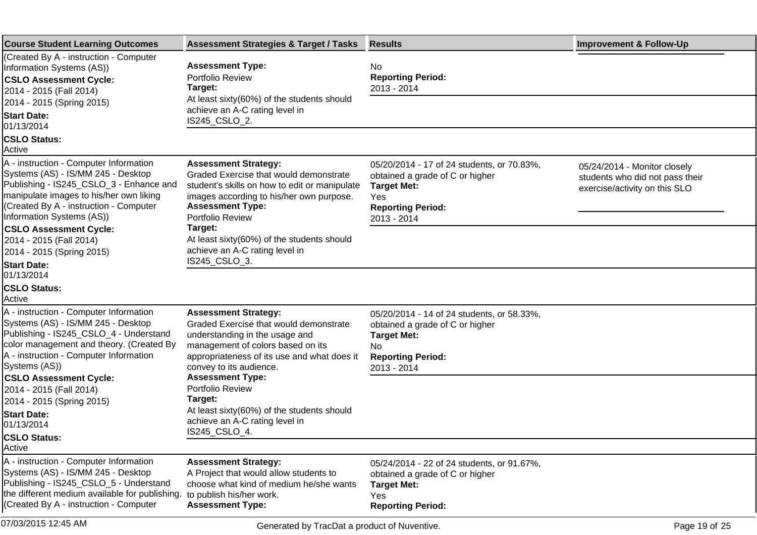| <b>Course Student Learning Outcomes</b>                                                                                                                                                                                                                                                                                            | <b>Assessment Strategies &amp; Target / Tasks</b>                                                                                                                                                                                                                                                                             | <b>Results</b>                                                                                                                                        | <b>Improvement &amp; Follow-Up</b>                                                               |
|------------------------------------------------------------------------------------------------------------------------------------------------------------------------------------------------------------------------------------------------------------------------------------------------------------------------------------|-------------------------------------------------------------------------------------------------------------------------------------------------------------------------------------------------------------------------------------------------------------------------------------------------------------------------------|-------------------------------------------------------------------------------------------------------------------------------------------------------|--------------------------------------------------------------------------------------------------|
| (Created By A - instruction - Computer<br>Information Systems (AS))<br><b>CSLO Assessment Cycle:</b><br>2014 - 2015 (Fall 2014)<br>2014 - 2015 (Spring 2015)<br><b>Start Date:</b><br>01/13/2014                                                                                                                                   | <b>Assessment Type:</b><br><b>Portfolio Review</b><br>Target:<br>At least sixty(60%) of the students should<br>achieve an A-C rating level in<br>IS245_CSLO_2.                                                                                                                                                                | No<br><b>Reporting Period:</b><br>2013 - 2014                                                                                                         |                                                                                                  |
| <b>CSLO Status:</b><br>Active                                                                                                                                                                                                                                                                                                      |                                                                                                                                                                                                                                                                                                                               |                                                                                                                                                       |                                                                                                  |
| A - instruction - Computer Information<br>Systems (AS) - IS/MM 245 - Desktop<br>Publishing - IS245_CSLO_3 - Enhance and<br>manipulate images to his/her own liking<br>(Created By A - instruction - Computer<br>Information Systems (AS))<br><b>CSLO Assessment Cycle:</b><br>2014 - 2015 (Fall 2014)<br>2014 - 2015 (Spring 2015) | <b>Assessment Strategy:</b><br>Graded Exercise that would demonstrate<br>student's skills on how to edit or manipulate<br>images according to his/her own purpose.<br><b>Assessment Type:</b><br>Portfolio Review<br>Target:<br>At least sixty(60%) of the students should<br>achieve an A-C rating level in<br>IS245_CSLO_3. | 05/20/2014 - 17 of 24 students, or 70.83%,<br>obtained a grade of C or higher<br><b>Target Met:</b><br>Yes<br><b>Reporting Period:</b><br>2013 - 2014 | 05/24/2014 - Monitor closely<br>students who did not pass their<br>exercise/activity on this SLO |
| <b>Start Date:</b><br>01/13/2014<br><b>CSLO Status:</b>                                                                                                                                                                                                                                                                            |                                                                                                                                                                                                                                                                                                                               |                                                                                                                                                       |                                                                                                  |
| Active<br>A - instruction - Computer Information<br>Systems (AS) - IS/MM 245 - Desktop<br>Publishing - IS245_CSLO_4 - Understand<br>color management and theory. (Created By<br>A - instruction - Computer Information<br>Systems (AS))                                                                                            | <b>Assessment Strategy:</b><br>Graded Exercise that would demonstrate<br>understanding in the usage and<br>management of colors based on its<br>appropriateness of its use and what does it<br>convey to its audience.                                                                                                        | 05/20/2014 - 14 of 24 students, or 58.33%,<br>obtained a grade of C or higher<br><b>Target Met:</b><br>No.<br><b>Reporting Period:</b><br>2013 - 2014 |                                                                                                  |
| <b>CSLO Assessment Cycle:</b><br>2014 - 2015 (Fall 2014)<br>2014 - 2015 (Spring 2015)<br><b>Start Date:</b><br>01/13/2014<br><b>CSLO Status:</b>                                                                                                                                                                                   | <b>Assessment Type:</b><br>Portfolio Review<br>Target:<br>At least sixty(60%) of the students should<br>achieve an A-C rating level in<br>IS245 CSLO 4.                                                                                                                                                                       |                                                                                                                                                       |                                                                                                  |
| Active                                                                                                                                                                                                                                                                                                                             |                                                                                                                                                                                                                                                                                                                               |                                                                                                                                                       |                                                                                                  |
| A - instruction - Computer Information<br>Systems (AS) - IS/MM 245 - Desktop<br>Publishing - IS245_CSLO_5 - Understand<br>the different medium available for publishing.<br>(Created By A - instruction - Computer                                                                                                                 | <b>Assessment Strategy:</b><br>A Project that would allow students to<br>choose what kind of medium he/she wants<br>to publish his/her work.<br><b>Assessment Type:</b>                                                                                                                                                       | 05/24/2014 - 22 of 24 students, or 91.67%,<br>obtained a grade of C or higher<br><b>Target Met:</b><br>Yes<br><b>Reporting Period:</b>                |                                                                                                  |
| 07/03/2015 12:45 AM                                                                                                                                                                                                                                                                                                                | Generated by TracDat a product of Nuventive.                                                                                                                                                                                                                                                                                  |                                                                                                                                                       | Page 19 of 25                                                                                    |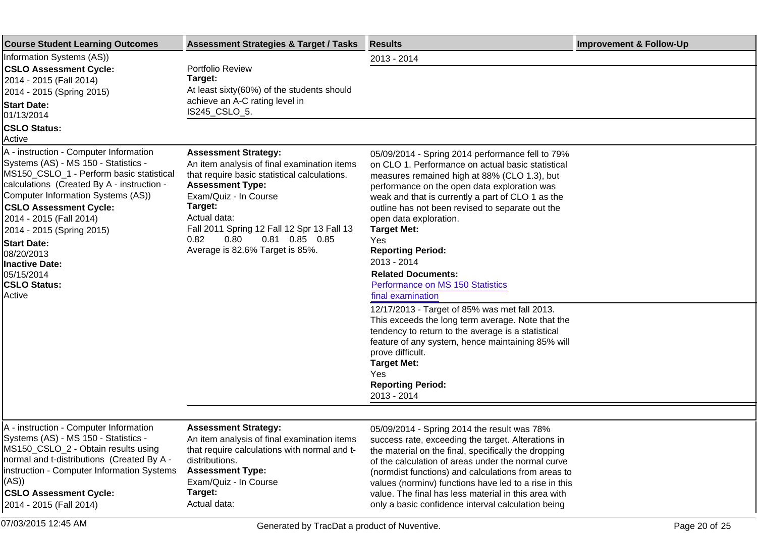| <b>Course Student Learning Outcomes</b>                                                                                                                                                                                                                                                                                                                                                                             | <b>Assessment Strategies &amp; Target / Tasks</b>                                                                                                                                                                                                                                                                              | <b>Results</b>                                                                                                                                                                                                                                                                                                                                                                                                                                                                                         | <b>Improvement &amp; Follow-Up</b> |
|---------------------------------------------------------------------------------------------------------------------------------------------------------------------------------------------------------------------------------------------------------------------------------------------------------------------------------------------------------------------------------------------------------------------|--------------------------------------------------------------------------------------------------------------------------------------------------------------------------------------------------------------------------------------------------------------------------------------------------------------------------------|--------------------------------------------------------------------------------------------------------------------------------------------------------------------------------------------------------------------------------------------------------------------------------------------------------------------------------------------------------------------------------------------------------------------------------------------------------------------------------------------------------|------------------------------------|
| Information Systems (AS))                                                                                                                                                                                                                                                                                                                                                                                           |                                                                                                                                                                                                                                                                                                                                | 2013 - 2014                                                                                                                                                                                                                                                                                                                                                                                                                                                                                            |                                    |
| <b>CSLO Assessment Cycle:</b><br>2014 - 2015 (Fall 2014)<br>2014 - 2015 (Spring 2015)<br><b>Start Date:</b><br>01/13/2014                                                                                                                                                                                                                                                                                           | Portfolio Review<br>Target:<br>At least sixty(60%) of the students should<br>achieve an A-C rating level in<br>IS245_CSLO_5.                                                                                                                                                                                                   |                                                                                                                                                                                                                                                                                                                                                                                                                                                                                                        |                                    |
| <b>CSLO Status:</b><br>Active                                                                                                                                                                                                                                                                                                                                                                                       |                                                                                                                                                                                                                                                                                                                                |                                                                                                                                                                                                                                                                                                                                                                                                                                                                                                        |                                    |
| A - instruction - Computer Information<br>Systems (AS) - MS 150 - Statistics -<br>MS150_CSLO_1 - Perform basic statistical<br>calculations (Created By A - instruction -<br>Computer Information Systems (AS))<br><b>CSLO Assessment Cycle:</b><br>2014 - 2015 (Fall 2014)<br>2014 - 2015 (Spring 2015)<br><b>Start Date:</b><br>08/20/2013<br><b>Inactive Date:</b><br>05/15/2014<br><b>CSLO Status:</b><br>Active | <b>Assessment Strategy:</b><br>An item analysis of final examination items<br>that require basic statistical calculations.<br><b>Assessment Type:</b><br>Exam/Quiz - In Course<br>Target:<br>Actual data:<br>Fall 2011 Spring 12 Fall 12 Spr 13 Fall 13<br>0.81  0.85  0.85<br>0.82<br>0.80<br>Average is 82.6% Target is 85%. | 05/09/2014 - Spring 2014 performance fell to 79%<br>on CLO 1. Performance on actual basic statistical<br>measures remained high at 88% (CLO 1.3), but<br>performance on the open data exploration was<br>weak and that is currently a part of CLO 1 as the<br>outline has not been revised to separate out the<br>open data exploration.<br><b>Target Met:</b><br>Yes<br><b>Reporting Period:</b><br>2013 - 2014<br><b>Related Documents:</b><br>Performance on MS 150 Statistics<br>final examination |                                    |
|                                                                                                                                                                                                                                                                                                                                                                                                                     |                                                                                                                                                                                                                                                                                                                                | 12/17/2013 - Target of 85% was met fall 2013.<br>This exceeds the long term average. Note that the<br>tendency to return to the average is a statistical<br>feature of any system, hence maintaining 85% will<br>prove difficult.<br><b>Target Met:</b><br>Yes<br><b>Reporting Period:</b><br>2013 - 2014                                                                                                                                                                                              |                                    |
|                                                                                                                                                                                                                                                                                                                                                                                                                     |                                                                                                                                                                                                                                                                                                                                |                                                                                                                                                                                                                                                                                                                                                                                                                                                                                                        |                                    |
| A - instruction - Computer Information<br>Systems (AS) - MS 150 - Statistics -<br>MS150_CSLO_2 - Obtain results using<br>normal and t-distributions (Created By A -<br>instruction - Computer Information Systems<br>(AS))<br><b>CSLO Assessment Cycle:</b><br>2014 - 2015 (Fall 2014)                                                                                                                              | <b>Assessment Strategy:</b><br>An item analysis of final examination items<br>that require calculations with normal and t-<br>distributions.<br><b>Assessment Type:</b><br>Exam/Quiz - In Course<br>Target:<br>Actual data:                                                                                                    | 05/09/2014 - Spring 2014 the result was 78%<br>success rate, exceeding the target. Alterations in<br>the material on the final, specifically the dropping<br>of the calculation of areas under the normal curve<br>(normdist functions) and calculations from areas to<br>values (norminv) functions have led to a rise in this<br>value. The final has less material in this area with<br>only a basic confidence interval calculation being                                                          |                                    |
| 07/03/2015 12:45 AM                                                                                                                                                                                                                                                                                                                                                                                                 | Generated by TracDat a product of Nuventive.                                                                                                                                                                                                                                                                                   |                                                                                                                                                                                                                                                                                                                                                                                                                                                                                                        | Page 20 of 25                      |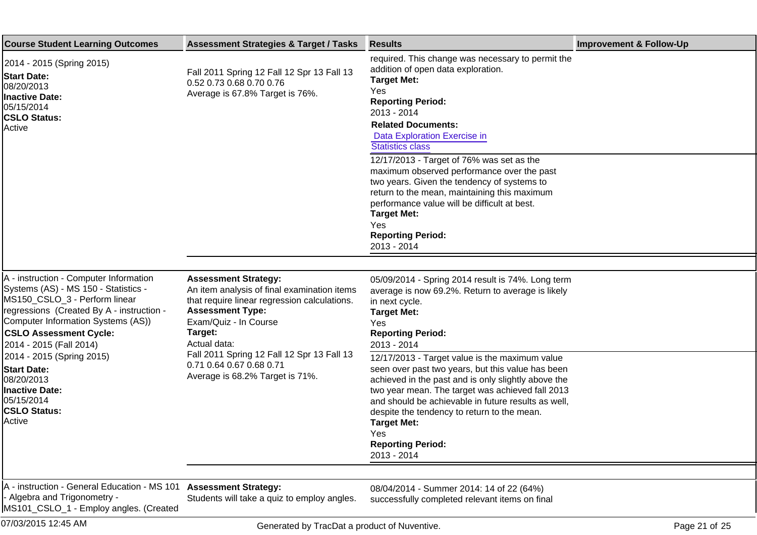| <b>Course Student Learning Outcomes</b>                                                                                                                                                                                                                        | <b>Assessment Strategies &amp; Target / Tasks</b>                                                                                                                                                         | <b>Results</b>                                                                                                                                                                                                                                                                                                                                                                               | <b>Improvement &amp; Follow-Up</b> |
|----------------------------------------------------------------------------------------------------------------------------------------------------------------------------------------------------------------------------------------------------------------|-----------------------------------------------------------------------------------------------------------------------------------------------------------------------------------------------------------|----------------------------------------------------------------------------------------------------------------------------------------------------------------------------------------------------------------------------------------------------------------------------------------------------------------------------------------------------------------------------------------------|------------------------------------|
| 2014 - 2015 (Spring 2015)<br><b>Start Date:</b><br>08/20/2013<br><b>Inactive Date:</b><br>05/15/2014<br><b>CSLO Status:</b><br>Active                                                                                                                          | Fall 2011 Spring 12 Fall 12 Spr 13 Fall 13<br>0.52 0.73 0.68 0.70 0.76<br>Average is 67.8% Target is 76%.                                                                                                 | required. This change was necessary to permit the<br>addition of open data exploration.<br><b>Target Met:</b><br>Yes<br><b>Reporting Period:</b><br>2013 - 2014<br><b>Related Documents:</b><br>Data Exploration Exercise in<br><b>Statistics class</b><br>12/17/2013 - Target of 76% was set as the                                                                                         |                                    |
|                                                                                                                                                                                                                                                                |                                                                                                                                                                                                           | maximum observed performance over the past<br>two years. Given the tendency of systems to<br>return to the mean, maintaining this maximum<br>performance value will be difficult at best.<br><b>Target Met:</b><br>Yes<br><b>Reporting Period:</b><br>2013 - 2014                                                                                                                            |                                    |
|                                                                                                                                                                                                                                                                |                                                                                                                                                                                                           |                                                                                                                                                                                                                                                                                                                                                                                              |                                    |
| A - instruction - Computer Information<br>Systems (AS) - MS 150 - Statistics -<br>MS150_CSLO_3 - Perform linear<br>regressions (Created By A - instruction -<br>Computer Information Systems (AS))<br><b>CSLO Assessment Cycle:</b><br>2014 - 2015 (Fall 2014) | <b>Assessment Strategy:</b><br>An item analysis of final examination items<br>that require linear regression calculations.<br><b>Assessment Type:</b><br>Exam/Quiz - In Course<br>Target:<br>Actual data: | 05/09/2014 - Spring 2014 result is 74%. Long term<br>average is now 69.2%. Return to average is likely<br>in next cycle.<br><b>Target Met:</b><br>Yes<br><b>Reporting Period:</b><br>2013 - 2014                                                                                                                                                                                             |                                    |
| 2014 - 2015 (Spring 2015)<br><b>Start Date:</b><br>08/20/2013<br>Inactive Date:<br>05/15/2014<br><b>CSLO Status:</b><br>Active                                                                                                                                 | Fall 2011 Spring 12 Fall 12 Spr 13 Fall 13<br>0.71 0.64 0.67 0.68 0.71<br>Average is 68.2% Target is 71%.                                                                                                 | 12/17/2013 - Target value is the maximum value<br>seen over past two years, but this value has been<br>achieved in the past and is only slightly above the<br>two year mean. The target was achieved fall 2013<br>and should be achievable in future results as well,<br>despite the tendency to return to the mean.<br><b>Target Met:</b><br>Yes<br><b>Reporting Period:</b><br>2013 - 2014 |                                    |
|                                                                                                                                                                                                                                                                |                                                                                                                                                                                                           |                                                                                                                                                                                                                                                                                                                                                                                              |                                    |
| A - instruction - General Education - MS 101<br>Algebra and Trigonometry -<br>MS101_CSLO_1 - Employ angles. (Created                                                                                                                                           | <b>Assessment Strategy:</b><br>Students will take a quiz to employ angles.                                                                                                                                | 08/04/2014 - Summer 2014: 14 of 22 (64%)<br>successfully completed relevant items on final                                                                                                                                                                                                                                                                                                   |                                    |
| 07/03/2015 12:45 AM                                                                                                                                                                                                                                            | Generated by TracDat a product of Nuventive.                                                                                                                                                              |                                                                                                                                                                                                                                                                                                                                                                                              | Page 21 of 25                      |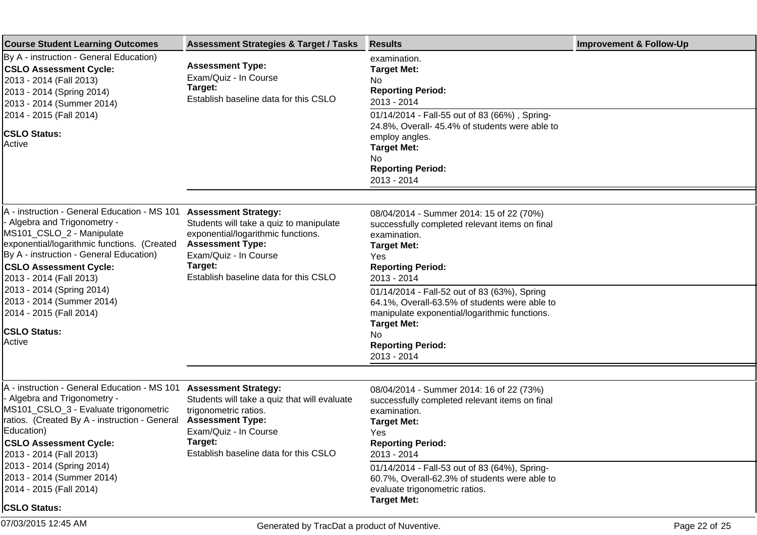| <b>Course Student Learning Outcomes</b>                                                                                                                                                                                                                                                                                                              | <b>Assessment Strategies &amp; Target / Tasks</b>                                                                                                                                                                    | <b>Results</b>                                                                                                                                                                                                                                                                                                                       | <b>Improvement &amp; Follow-Up</b> |
|------------------------------------------------------------------------------------------------------------------------------------------------------------------------------------------------------------------------------------------------------------------------------------------------------------------------------------------------------|----------------------------------------------------------------------------------------------------------------------------------------------------------------------------------------------------------------------|--------------------------------------------------------------------------------------------------------------------------------------------------------------------------------------------------------------------------------------------------------------------------------------------------------------------------------------|------------------------------------|
| By A - instruction - General Education)<br><b>CSLO Assessment Cycle:</b><br>2013 - 2014 (Fall 2013)<br>2013 - 2014 (Spring 2014)<br>2013 - 2014 (Summer 2014)<br>2014 - 2015 (Fall 2014)<br><b>CSLO Status:</b><br>Active                                                                                                                            | <b>Assessment Type:</b><br>Exam/Quiz - In Course<br>Target:<br>Establish baseline data for this CSLO                                                                                                                 | examination.<br><b>Target Met:</b><br>No.<br><b>Reporting Period:</b><br>2013 - 2014<br>01/14/2014 - Fall-55 out of 83 (66%), Spring-<br>24.8%, Overall- 45.4% of students were able to<br>employ angles.                                                                                                                            |                                    |
|                                                                                                                                                                                                                                                                                                                                                      |                                                                                                                                                                                                                      | <b>Target Met:</b><br>No.<br><b>Reporting Period:</b><br>2013 - 2014                                                                                                                                                                                                                                                                 |                                    |
|                                                                                                                                                                                                                                                                                                                                                      |                                                                                                                                                                                                                      |                                                                                                                                                                                                                                                                                                                                      |                                    |
| A - instruction - General Education - MS 101<br>- Algebra and Trigonometry -<br>MS101_CSLO_2 - Manipulate<br>exponential/logarithmic functions. (Created<br>By A - instruction - General Education)<br><b>CSLO Assessment Cycle:</b><br>2013 - 2014 (Fall 2013)<br>2013 - 2014 (Spring 2014)<br>2013 - 2014 (Summer 2014)<br>2014 - 2015 (Fall 2014) | <b>Assessment Strategy:</b><br>Students will take a quiz to manipulate<br>exponential/logarithmic functions.<br><b>Assessment Type:</b><br>Exam/Quiz - In Course<br>Target:<br>Establish baseline data for this CSLO | 08/04/2014 - Summer 2014: 15 of 22 (70%)<br>successfully completed relevant items on final<br>examination.<br><b>Target Met:</b><br>Yes<br><b>Reporting Period:</b><br>2013 - 2014<br>01/14/2014 - Fall-52 out of 83 (63%), Spring<br>64.1%, Overall-63.5% of students were able to<br>manipulate exponential/logarithmic functions. |                                    |
| <b>CSLO Status:</b><br><b>Active</b>                                                                                                                                                                                                                                                                                                                 |                                                                                                                                                                                                                      | <b>Target Met:</b><br>No.<br><b>Reporting Period:</b><br>2013 - 2014                                                                                                                                                                                                                                                                 |                                    |
|                                                                                                                                                                                                                                                                                                                                                      |                                                                                                                                                                                                                      |                                                                                                                                                                                                                                                                                                                                      |                                    |
| A - instruction - General Education - MS 101<br>- Algebra and Trigonometry -<br>MS101_CSLO_3 - Evaluate trigonometric<br>ratios. (Created By A - instruction - General<br>Education)<br><b>CSLO Assessment Cycle:</b><br>2013 - 2014 (Fall 2013)                                                                                                     | <b>Assessment Strategy:</b><br>Students will take a quiz that will evaluate<br>trigonometric ratios.<br><b>Assessment Type:</b><br>Exam/Quiz - In Course<br>Target:<br>Establish baseline data for this CSLO         | 08/04/2014 - Summer 2014: 16 of 22 (73%)<br>successfully completed relevant items on final<br>examination.<br><b>Target Met:</b><br>Yes<br><b>Reporting Period:</b><br>2013 - 2014                                                                                                                                                   |                                    |
| 2013 - 2014 (Spring 2014)<br>2013 - 2014 (Summer 2014)<br>2014 - 2015 (Fall 2014)                                                                                                                                                                                                                                                                    |                                                                                                                                                                                                                      | 01/14/2014 - Fall-53 out of 83 (64%), Spring-<br>60.7%, Overall-62.3% of students were able to<br>evaluate trigonometric ratios.                                                                                                                                                                                                     |                                    |
| <b>CSLO Status:</b>                                                                                                                                                                                                                                                                                                                                  |                                                                                                                                                                                                                      | <b>Target Met:</b>                                                                                                                                                                                                                                                                                                                   |                                    |
| 07/03/2015 12:45 AM                                                                                                                                                                                                                                                                                                                                  | Generated by TracDat a product of Nuventive.                                                                                                                                                                         |                                                                                                                                                                                                                                                                                                                                      | Page 22 of 25                      |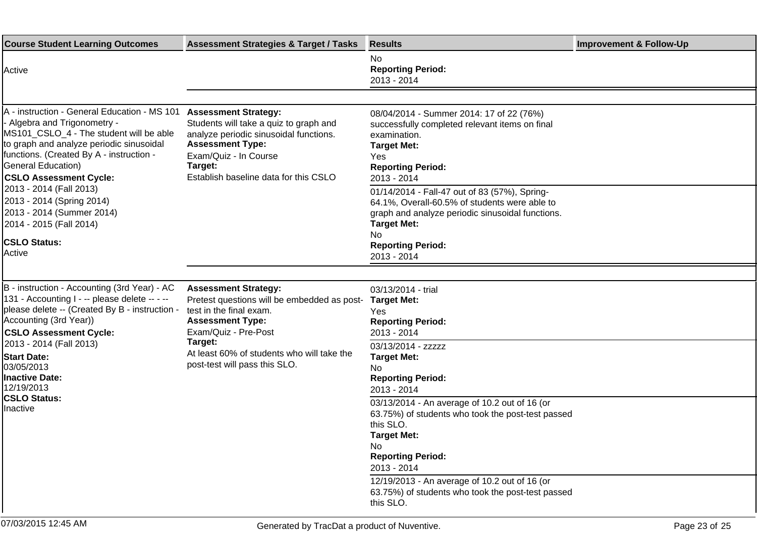| <b>Course Student Learning Outcomes</b>                                                                                                                                                                                                                                                                                                                                                                                        | <b>Assessment Strategies &amp; Target / Tasks</b>                                                                                                                                                                                                  | <b>Results</b>                                                                                                                                                                                                                                                                                                                                                                                                                                                                                        | <b>Improvement &amp; Follow-Up</b> |
|--------------------------------------------------------------------------------------------------------------------------------------------------------------------------------------------------------------------------------------------------------------------------------------------------------------------------------------------------------------------------------------------------------------------------------|----------------------------------------------------------------------------------------------------------------------------------------------------------------------------------------------------------------------------------------------------|-------------------------------------------------------------------------------------------------------------------------------------------------------------------------------------------------------------------------------------------------------------------------------------------------------------------------------------------------------------------------------------------------------------------------------------------------------------------------------------------------------|------------------------------------|
| Active                                                                                                                                                                                                                                                                                                                                                                                                                         |                                                                                                                                                                                                                                                    | No.<br><b>Reporting Period:</b><br>2013 - 2014                                                                                                                                                                                                                                                                                                                                                                                                                                                        |                                    |
| A - instruction - General Education - MS 101<br>- Algebra and Trigonometry -<br>MS101_CSLO_4 - The student will be able<br>to graph and analyze periodic sinusoidal<br>functions. (Created By A - instruction -<br><b>General Education)</b><br><b>CSLO Assessment Cycle:</b><br>2013 - 2014 (Fall 2013)<br>2013 - 2014 (Spring 2014)<br>2013 - 2014 (Summer 2014)<br>2014 - 2015 (Fall 2014)<br><b>CSLO Status:</b><br>Active | <b>Assessment Strategy:</b><br>Students will take a quiz to graph and<br>analyze periodic sinusoidal functions.<br><b>Assessment Type:</b><br>Exam/Quiz - In Course<br>Target:<br>Establish baseline data for this CSLO                            | 08/04/2014 - Summer 2014: 17 of 22 (76%)<br>successfully completed relevant items on final<br>examination.<br><b>Target Met:</b><br>Yes<br><b>Reporting Period:</b><br>2013 - 2014<br>01/14/2014 - Fall-47 out of 83 (57%), Spring-<br>64.1%, Overall-60.5% of students were able to<br>graph and analyze periodic sinusoidal functions.<br><b>Target Met:</b><br>No.<br><b>Reporting Period:</b><br>2013 - 2014                                                                                      |                                    |
| B - instruction - Accounting (3rd Year) - AC<br>131 - Accounting I - -- please delete -- - --<br>please delete -- (Created By B - instruction -<br>Accounting (3rd Year))<br><b>CSLO Assessment Cycle:</b><br>2013 - 2014 (Fall 2013)<br><b>Start Date:</b><br>03/05/2013<br><b>Inactive Date:</b><br>12/19/2013<br><b>CSLO Status:</b><br>Inactive                                                                            | <b>Assessment Strategy:</b><br>Pretest questions will be embedded as post-<br>test in the final exam.<br><b>Assessment Type:</b><br>Exam/Quiz - Pre-Post<br>Target:<br>At least 60% of students who will take the<br>post-test will pass this SLO. | 03/13/2014 - trial<br><b>Target Met:</b><br>Yes<br><b>Reporting Period:</b><br>2013 - 2014<br>03/13/2014 - zzzzz<br><b>Target Met:</b><br>No.<br><b>Reporting Period:</b><br>2013 - 2014<br>03/13/2014 - An average of 10.2 out of 16 (or<br>63.75%) of students who took the post-test passed<br>this SLO.<br><b>Target Met:</b><br>No<br><b>Reporting Period:</b><br>2013 - 2014<br>12/19/2013 - An average of 10.2 out of 16 (or<br>63.75%) of students who took the post-test passed<br>this SLO. |                                    |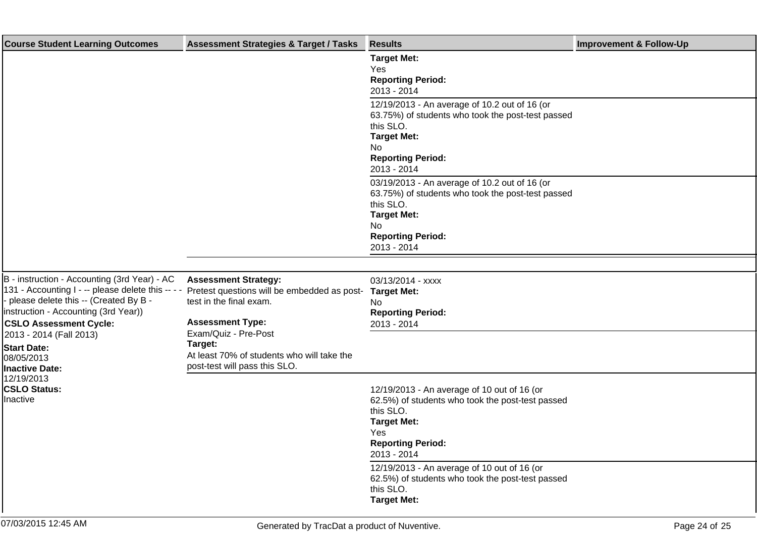| <b>Course Student Learning Outcomes</b>                                                                                                                                                                                                                                        | <b>Assessment Strategies &amp; Target / Tasks</b>                                                                                                                                                                 | <b>Results</b>                                                                                                                                                                         | <b>Improvement &amp; Follow-Up</b> |
|--------------------------------------------------------------------------------------------------------------------------------------------------------------------------------------------------------------------------------------------------------------------------------|-------------------------------------------------------------------------------------------------------------------------------------------------------------------------------------------------------------------|----------------------------------------------------------------------------------------------------------------------------------------------------------------------------------------|------------------------------------|
|                                                                                                                                                                                                                                                                                |                                                                                                                                                                                                                   | <b>Target Met:</b><br>Yes<br><b>Reporting Period:</b><br>2013 - 2014                                                                                                                   |                                    |
|                                                                                                                                                                                                                                                                                |                                                                                                                                                                                                                   | 12/19/2013 - An average of 10.2 out of 16 (or<br>63.75%) of students who took the post-test passed<br>this SLO.<br><b>Target Met:</b><br>No<br><b>Reporting Period:</b><br>2013 - 2014 |                                    |
|                                                                                                                                                                                                                                                                                |                                                                                                                                                                                                                   | 03/19/2013 - An average of 10.2 out of 16 (or<br>63.75%) of students who took the post-test passed<br>this SLO.<br><b>Target Met:</b><br>No<br><b>Reporting Period:</b><br>2013 - 2014 |                                    |
| B - instruction - Accounting (3rd Year) - AC<br>131 - Accounting I - -- please delete this --<br>please delete this -- (Created By B -<br>instruction - Accounting (3rd Year))<br><b>CSLO Assessment Cycle:</b><br>2013 - 2014 (Fall 2013)<br><b>Start Date:</b><br>08/05/2013 | <b>Assessment Strategy:</b><br>Pretest questions will be embedded as post-<br>test in the final exam.<br><b>Assessment Type:</b><br>Exam/Quiz - Pre-Post<br>Target:<br>At least 70% of students who will take the | 03/13/2014 - xxxx<br><b>Target Met:</b><br>No<br><b>Reporting Period:</b><br>2013 - 2014                                                                                               |                                    |
| <b>Inactive Date:</b><br>12/19/2013<br><b>CSLO Status:</b><br>Inactive                                                                                                                                                                                                         | post-test will pass this SLO.                                                                                                                                                                                     | 12/19/2013 - An average of 10 out of 16 (or<br>62.5%) of students who took the post-test passed<br>this SLO.<br><b>Target Met:</b><br>Yes<br><b>Reporting Period:</b><br>2013 - 2014   |                                    |
|                                                                                                                                                                                                                                                                                |                                                                                                                                                                                                                   | 12/19/2013 - An average of 10 out of 16 (or<br>62.5%) of students who took the post-test passed<br>this SLO.<br><b>Target Met:</b>                                                     |                                    |